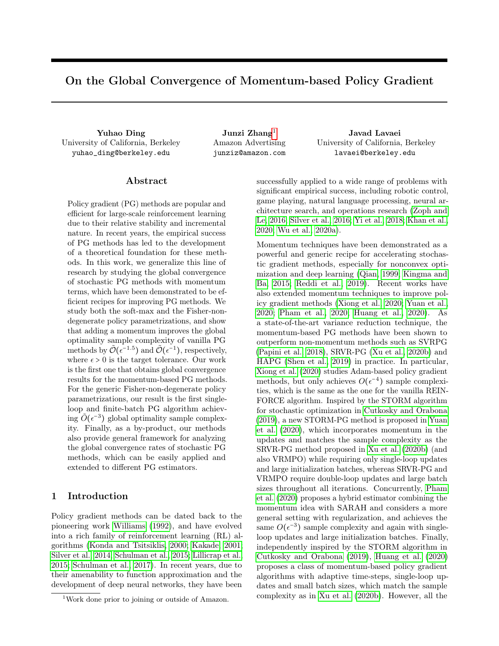# On the Global Convergence of Momentum-based Policy Gradient

Yuhao Ding Junzi Zhang<sup>[1](#page-0-0)</sup> Javad Lavaei University of California, Berkeley yuhao\_ding@berkeley.edu

Amazon Advertising junziz@amazon.com

University of California, Berkeley lavaei@berkeley.edu

# ${\rm Abstract}$

Policy gradient (PG) methods are popular and efficient for large-scale reinforcement learning due to their relative stability and incremental nature. In recent years, the empirical success of PG methods has led to the development of a theoretical foundation for these methods. In this work, we generalize this line of research by studying the global convergence of stochastic PG methods with momentum terms, which have been demonstrated to be efficient recipes for improving PG methods. We study both the soft-max and the Fisher-nondegenerate policy parametrizations, and show that adding a momentum improves the global optimality sample complexity of vanilla PG methods by  $\tilde{\mathcal{O}}(\epsilon^{-1.5})$  and  $\tilde{\mathcal{O}}(\epsilon^{-1})$ , respectively, where  $\epsilon > 0$  is the target tolerance. Our work is the first one that obtains global convergence results for the momentum-based PG methods. For the generic Fisher-non-degenerate policy parametrizations, our result is the first singleloop and finite-batch PG algorithm achieving  $\tilde{O}(\epsilon^{-3})$  global optimality sample complexity. Finally, as a by-product, our methods also provide general framework for analyzing the global convergence rates of stochastic PG methods, which can be easily applied and extended to different PG estimators.

# <span id="page-0-1"></span>1 Introduction

Policy gradient methods can be dated back to the pioneering work [Williams](#page-9-0) [\(1992\)](#page-9-0), and have evolved into a rich family of reinforcement learning (RL) algorithms [\(Konda and Tsitsiklis, 2000;](#page-8-0) [Kakade, 2001;](#page-8-1) [Silver et al., 2014;](#page-9-1) [Schulman et al., 2015;](#page-9-2) [Lillicrap et al.,](#page-8-2) [2015;](#page-8-2) [Schulman et al., 2017\)](#page-9-3). In recent years, due to their amenability to function approximation and the development of deep neural networks, they have been

successfully applied to a wide range of problems with significant empirical success, including robotic control, game playing, natural language processing, neural architecture search, and operations research [\(Zoph and](#page-10-0) [Le, 2016;](#page-10-0) [Silver et al., 2016;](#page-9-4) [Yi et al., 2018;](#page-9-5) [Khan et al.,](#page-8-3) [2020;](#page-8-3) [Wu et al., 2020a\)](#page-9-6).

Momentum techniques have been demonstrated as a powerful and generic recipe for accelerating stochastic gradient methods, especially for nonconvex optimization and deep learning [\(Qian, 1999;](#page-9-7) [Kingma and](#page-8-4) [Ba, 2015;](#page-8-4) [Reddi et al., 2019\)](#page-9-8). Recent works have also extended momentum techniques to improve policy gradient methods [\(Xiong et al., 2020;](#page-9-9) [Yuan et al.,](#page-9-10) [2020;](#page-9-10) [Pham et al., 2020;](#page-9-11) [Huang et al., 2020\)](#page-8-5). As a state-of-the-art variance reduction technique, the momentum-based PG methods have been shown to outperform non-momentum methods such as SVRPG [\(Papini et al., 2018\)](#page-8-6), SRVR-PG [\(Xu et al., 2020b\)](#page-9-12) and HAPG [\(Shen et al., 2019\)](#page-9-13) in practice. In particular, [Xiong et al.](#page-9-9) [\(2020\)](#page-9-9) studies Adam-based policy gradient methods, but only achieves  $O(\epsilon^{-4})$  sample complexities, which is the same as the one for the vanilla REIN-FORCE algorithm. Inspired by the STORM algorithm for stochastic optimization in [Cutkosky and Orabona](#page-8-7) [\(2019\)](#page-8-7), a new STORM-PG method is proposed in [Yuan](#page-9-10) [et al.](#page-9-10) [\(2020\)](#page-9-10), which incorporates momentum in the updates and matches the sample complexity as the SRVR-PG method proposed in [Xu et al.](#page-9-12) [\(2020b\)](#page-9-12) (and also VRMPO) while requiring only single-loop updates and large initialization batches, whereas SRVR-PG and VRMPO require double-loop updates and large batch sizes throughout all iterations. Concurrently, [Pham](#page-9-11) [et al.](#page-9-11) [\(2020\)](#page-9-11) proposes a hybrid estimator combining the momentum idea with SARAH and considers a more general setting with regularization, and achieves the same  $O(\epsilon^{-3})$  sample complexity and again with singleloop updates and large initialization batches. Finally, independently inspired by the STORM algorithm in [Cutkosky and Orabona](#page-8-7) [\(2019\)](#page-8-7), [Huang et al.](#page-8-5) [\(2020\)](#page-8-5) proposes a class of momentum-based policy gradient algorithms with adaptive time-steps, single-loop updates and small batch sizes, which match the sample complexity as in [Xu et al.](#page-9-12) [\(2020b\)](#page-9-12). However, all the

<span id="page-0-0"></span><sup>&</sup>lt;sup>1</sup>Work done prior to joining or outside of Amazon.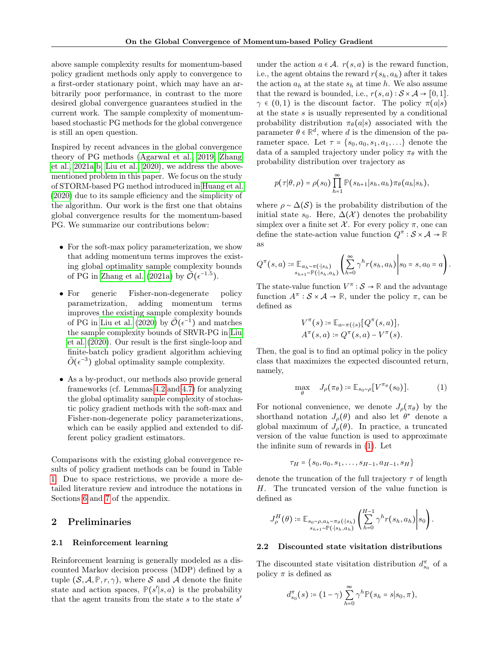above sample complexity results for momentum-based policy gradient methods only apply to convergence to a first-order stationary point, which may have an arbitrarily poor performance, in contrast to the more desired global convergence guarantees studied in the current work. The sample complexity of momentumbased stochastic PG methods for the global convergence is still an open question.

Inspired by recent advances in the global convergence theory of PG methods [\(Agarwal et al., 2019;](#page-8-8) [Zhang](#page-10-1) [et al., 2021a](#page-10-1)[,b;](#page-10-2) [Liu et al., 2020\)](#page-8-9), we address the abovementioned problem in this paper. We focus on the study of STORM-based PG method introduced in [Huang et al.](#page-8-5) [\(2020\)](#page-8-5) due to its sample efficiency and the simplicity of the algorithm. Our work is the first one that obtains global convergence results for the momentum-based PG. We summarize our contributions below:

- For the soft-max policy parameterization, we show that adding momentum terms improves the existing global optimality sample complexity bounds of PG in [Zhang et al.](#page-10-1) [\(2021a\)](#page-10-1) by  $\tilde{\mathcal{O}}(\epsilon^{-1.5})$ .
- For generic Fisher-non-degenerate policy parametrization, adding momentum terms improves the existing sample complexity bounds of PG in [Liu et al.](#page-8-9) [\(2020\)](#page-8-9) by  $\tilde{\mathcal{O}}(\epsilon^{-1})$  and matches the sample complexity bounds of SRVR-PG in [Liu](#page-8-9) [et al.](#page-8-9) [\(2020\)](#page-8-9). Our result is the first single-loop and finite-batch policy gradient algorithm achieving  $\tilde{O}(\epsilon^{-3})$  global optimality sample complexity.
- As a by-product, our methods also provide general frameworks (cf. Lemmas [4.2](#page-5-0) and [4.7\)](#page-6-0) for analyzing the global optimality sample complexity of stochastic policy gradient methods with the soft-max and Fisher-non-degenerate policy parameterizations, which can be easily applied and extended to different policy gradient estimators.

Comparisons with the existing global convergence results of policy gradient methods can be found in Table [1.](#page-0-1) Due to space restrictions, we provide a more detailed literature review and introduce the notations in Sections [6](#page-11-0) and [7](#page-12-0) of the appendix.

# 2 Preliminaries

#### 2.1 Reinforcement learning

Reinforcement learning is generally modeled as a discounted Markov decision process (MDP) defined by a tuple  $(S, \mathcal{A}, \mathbb{P}, r, \gamma)$ , where S and A denote the finite state and action spaces,  $\mathbb{P}(s'|s,a)$  is the probability that the agent transits from the state  $s$  to the state  $s'$ 

under the action  $a \in \mathcal{A}$ .  $r(s, a)$  is the reward function, i.e., the agent obtains the reward  $r(s_h, a_h)$  after it takes the action  $a_h$  at the state  $s_h$  at time h. We also assume that the reward is bounded, i.e.,  $r(s, a) : S \times A \rightarrow [0, 1].$  $\gamma \in (0,1)$  is the discount factor. The policy  $\pi(a|s)$ at the state s is usually represented by a conditional probability distribution  $\pi_{\theta}(a|s)$  associated with the parameter  $\theta \in \mathbb{R}^d$ , where d is the dimension of the parameter space. Let  $\tau = \{s_0, a_0, s_1, a_1, \ldots\}$  denote the data of a sampled trajectory under policy  $\pi_{\theta}$  with the probability distribution over trajectory as

$$
p(\tau|\theta,\rho) = \rho(s_0) \prod_{h=1}^{\infty} \mathbb{P}(s_{h+1}|s_h,a_h) \pi_{\theta}(a_h|s_h),
$$

where  $\rho \sim \Delta(\mathcal{S})$  is the probability distribution of the initial state  $s_0$ . Here,  $\Delta(\mathcal{X})$  denotes the probability simplex over a finite set  $\mathcal{X}$ . For every policy  $\pi$ , one can define the state-action value function  $Q^{\pi} : \mathcal{S} \times \mathcal{A} \to \mathbb{R}$ as

$$
Q^{\pi}(s, a) \coloneqq \mathbb{E}_{a_h \sim \pi(\cdot|s_h)} \left( \sum_{h=0}^{\infty} \gamma^h r(s_h, a_h) \middle| s_0 = s, a_0 = a \right).
$$

The state-value function  $V^{\pi} : \mathcal{S} \to \mathbb{R}$  and the advantage function  $A^{\pi}: \mathcal{S} \times \mathcal{A} \to \mathbb{R}$ , under the policy  $\pi$ , can be defined as

$$
V^{\pi}(s) := \mathbb{E}_{a \sim \pi(\cdot|s)}[Q^{\pi}(s, a)],
$$
  

$$
A^{\pi}(s, a) := Q^{\pi}(s, a) - V^{\pi}(s).
$$

Then, the goal is to find an optimal policy in the policy class that maximizes the expected discounted return, namely,

<span id="page-1-0"></span>
$$
\max_{\theta} \quad J_{\rho}(\pi_{\theta}) \coloneqq \mathbb{E}_{s_0 \sim \rho} [V^{\pi_{\theta}}(s_0)]. \tag{1}
$$

For notional convenience, we denote  $J_\rho(\pi_\theta)$  by the shorthand notation  $J_{\rho}(\theta)$  and also let  $\theta^*$  denote a global maximum of  $J_{\rho}(\theta)$ . In practice, a truncated version of the value function is used to approximate the infinite sum of rewards in [\(1\)](#page-1-0). Let

$$
\tau_H = \{s_0, a_0, s_1, \ldots, s_{H-1}, a_{H-1}, s_H\}
$$

denote the truncation of the full trajectory  $\tau$  of length H. The truncated version of the value function is defined as

$$
J_{\rho}^H(\theta) \coloneqq \mathbb{E}_{\substack{s_0 \sim \rho, a_h \sim \pi_{\theta}(\cdot | s_h) \\ s_{h+1} \sim \mathbb{P}(\cdot | s_h, a_h)}} \left( \sum_{h=0}^{H-1} \gamma^h r(s_h, a_h) \middle| s_0 \right).
$$

#### 2.2 Discounted state visitation distributions

The discounted state visitation distribution  $d_{s_0}^{\pi}$  of a policy  $\pi$  is defined as

$$
d_{s_0}^{\pi}(s) \coloneqq (1 - \gamma) \sum_{h=0}^{\infty} \gamma^h \mathbb{P}(s_h = s | s_0, \pi),
$$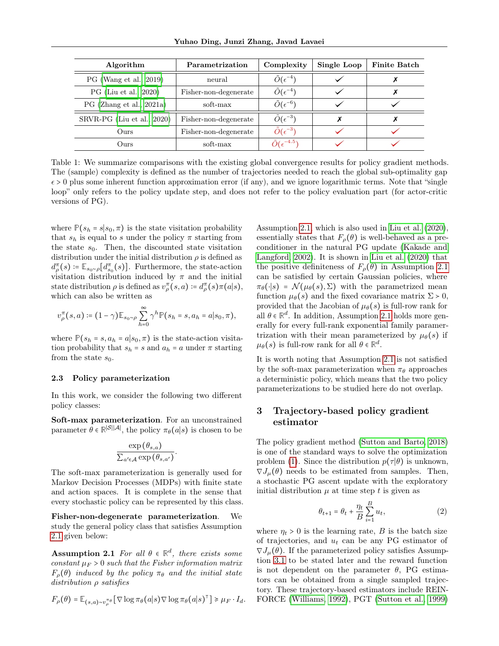| Algorithm                  | Parametrization       | Complexity                   | Single Loop | <b>Finite Batch</b> |
|----------------------------|-----------------------|------------------------------|-------------|---------------------|
| PG (Wang et al., 2019)     | neural                | $\tilde{O}(\epsilon^{-4})$   |             |                     |
| PG (Liu et al., 2020)      | Fisher-non-degenerate | $\tilde{O}(\epsilon^{-4})$   |             |                     |
| PG (Zhang et al., 2021a)   | soft-max              | $\tilde{O}(\epsilon^{-6})$   |             |                     |
| SRVR-PG (Liu et al., 2020) | Fisher-non-degenerate | $\tilde{O}(\epsilon^{-3})$   |             |                     |
| Ours.                      | Fisher-non-degenerate | $\tilde{O}(\epsilon^{-3})$   |             |                     |
| Ours.                      | soft-max              | $\tilde{O}(\epsilon^{-4.5})$ |             |                     |

Table 1: We summarize comparisons with the existing global convergence results for policy gradient methods. The (sample) complexity is defined as the number of trajectories needed to reach the global sub-optimality gap  $\epsilon > 0$  plus some inherent function approximation error (if any), and we ignore logarithmic terms. Note that "single loop" only refers to the policy update step, and does not refer to the policy evaluation part (for actor-critic versions of PG).

where  $P(s_h = s | s_0, \pi)$  is the state visitation probability that  $s_h$  is equal to s under the policy  $\pi$  starting from the state  $s_0$ . Then, the discounted state visitation distribution under the initial distribution  $\rho$  is defined as  $d_{\rho}^{\pi}(s) \coloneqq \mathbb{E}_{s_0 \sim \rho}[d_{s_0}^{\pi}(s)].$  Furthermore, the state-action visitation distribution induced by  $\pi$  and the initial state distribution  $\rho$  is defined as  $v_{\rho}^{\pi}(s, a) \coloneqq d_{\rho}^{\pi}(s) \pi(a|s),$ which can also be written as

$$
v_{\rho}^{\pi}(s,a) \coloneqq (1-\gamma) \mathbb{E}_{s_0 \sim \rho} \sum_{h=0}^{\infty} \gamma^h \mathbb{P}(s_h = s, a_h = a | s_0, \pi),
$$

where  $\mathbb{P}(s_h = s, a_h = a | s_0, \pi)$  is the state-action visitation probability that  $s_h = s$  and  $a_h = a$  under  $\pi$  starting from the state  $s_0$ .

#### 2.3 Policy parameterization

In this work, we consider the following two different policy classes:

Soft-max parameterization. For an unconstrained parameter  $\theta \in \mathbb{R}^{|\mathcal{S}||\mathcal{A}|}$ , the policy  $\pi_{\theta}(a|s)$  is chosen to be

$$
\frac{\exp(\theta_{s,a})}{\sum_{a' \in \mathcal{A}} \exp(\theta_{s,a'})}
$$

.

The soft-max parameterization is generally used for Markov Decision Processes (MDPs) with finite state and action spaces. It is complete in the sense that every stochastic policy can be represented by this class.

<span id="page-2-0"></span>Fisher-non-degenerate parameterization. We study the general policy class that satisfies Assumption [2.1](#page-2-0) given below:

**Assumption 2.1** For all  $\theta \in \mathbb{R}^d$ , there exists some constant  $\mu_F > 0$  such that the Fisher information matrix  $F_{\rho}(\theta)$  induced by the policy  $\pi_{\theta}$  and the initial state distribution ρ satisfies

$$
F_{\rho}(\theta) = \mathbb{E}_{(s,a)\sim v_{\rho}^{\pi_{\theta}}}[\nabla \log \pi_{\theta}(a|s) \nabla \log \pi_{\theta}(a|s)^{\top}] \geq \mu_{F} \cdot I_{d}.
$$

Assumption [2.1,](#page-2-0) which is also used in [Liu et al.](#page-8-9) [\(2020\)](#page-8-9), essentially states that  $F_{\rho}(\theta)$  is well-behaved as a preconditioner in the natural PG update [\(Kakade and](#page-8-10) [Langford, 2002\)](#page-8-10). It is shown in [Liu et al.](#page-8-9) [\(2020\)](#page-8-9) that the positive definiteness of  $F_{\rho}(\theta)$  in Assumption [2.1](#page-2-0) can be satisfied by certain Gaussian policies, where  $\pi_{\theta}(\cdot|s) = \mathcal{N}(\mu_{\theta}(s), \Sigma)$  with the parametrized mean function  $\mu_{\theta}(s)$  and the fixed covariance matrix  $\Sigma > 0$ , provided that the Jacobian of  $\mu_{\theta}(s)$  is full-row rank for all  $\theta \in \mathbb{R}^d$ . In addition, Assumption [2.1](#page-2-0) holds more generally for every full-rank exponential family paramertrization with their mean parameterized by  $\mu_{\theta}(s)$  if  $\mu_{\theta}(s)$  is full-row rank for all  $\theta \in \mathbb{R}^d$ .

It is worth noting that Assumption [2.1](#page-2-0) is not satisfied by the soft-max parameterization when  $\pi_{\theta}$  approaches a deterministic policy, which means that the two policy parameterizations to be studied here do not overlap.

# 3 Trajectory-based policy gradient estimator

The policy gradient method [\(Sutton and Barto, 2018\)](#page-9-15) is one of the standard ways to solve the optimization problem [\(1\)](#page-1-0). Since the distribution  $p(\tau | \theta)$  is unknown,  $\nabla J_{\mu}(\theta)$  needs to be estimated from samples. Then, a stochastic PG ascent update with the exploratory initial distribution  $\mu$  at time step t is given as

<span id="page-2-1"></span>
$$
\theta_{t+1} = \theta_t + \frac{\eta_t}{B} \sum_{i=1}^{B} u_t,\tag{2}
$$

where  $\eta_t > 0$  is the learning rate, B is the batch size of trajectories, and  $u_t$  can be any PG estimator of  $\nabla J_{\mu}(\theta)$ . If the parameterized policy satisfies Assumption [3.1](#page-3-0) to be stated later and the reward function is not dependent on the parameter  $\theta$ , PG estimators can be obtained from a single sampled trajectory. These trajectory-based estimators include REIN-FORCE [\(Williams, 1992\)](#page-9-0), PGT [\(Sutton et al., 1999\)](#page-9-16)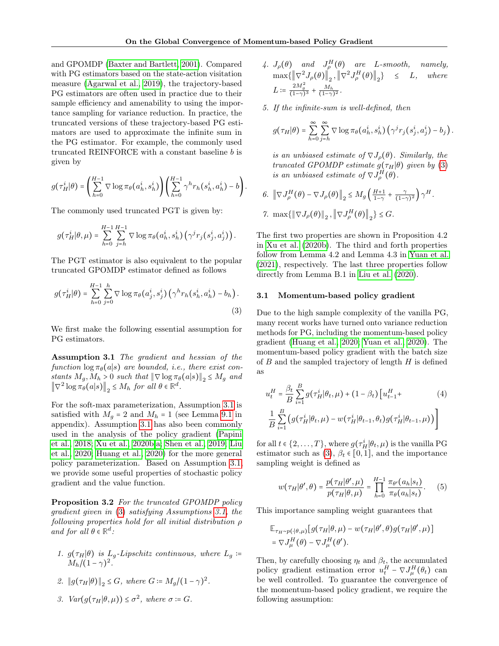and GPOMDP [\(Baxter and Bartlett, 2001\)](#page-8-11). Compared with PG estimators based on the state-action visitation measure [\(Agarwal et al., 2019\)](#page-8-8), the trajectory-based PG estimators are often used in practice due to their sample efficiency and amenability to using the importance sampling for variance reduction. In practice, the truncated versions of these trajectory-based PG estimators are used to approximate the infinite sum in the PG estimator. For example, the commonly used truncated REINFORCE with a constant baseline  $b$  is given by

$$
g(\tau_H^i|\theta) = \left(\sum_{h=0}^{H-1} \nabla \log \pi_\theta(a_h^i, s_h^i) \right) \left(\sum_{h=0}^{H-1} \gamma^h r_h(s_h^i, a_h^i) - b\right).
$$

The commonly used truncated PGT is given by:

$$
g(\tau^i_H|\theta,\mu) = \sum_{h=0}^{H-1}\sum_{j=h}^{H-1} \nabla \log \pi_\theta(a^i_h, s^i_h) \left(\gamma^j r_j(s^i_j, a^i_j)\right).
$$

The PGT estimator is also equivalent to the popular truncated GPOMDP estimator defined as follows

$$
g(\tau_H^i|\theta) = \sum_{h=0}^{H-1} \sum_{j=0}^h \nabla \log \pi_\theta(a_j^i, s_j^i) (\gamma^h r_h(s_h^i, a_h^i) - b_h).
$$
\n(3)

<span id="page-3-0"></span>We first make the following essential assumption for PG estimators.

Assumption 3.1 The gradient and hessian of the function  $\log \pi_{\theta}(a|s)$  are bounded, i.e., there exist constants  $M_g, M_h > 0$  such that  $\|\nabla \log \pi_\theta(a|s)\|_2 \leq M_g$  and  $\left\|\nabla^2 \log \pi_\theta(a|s)\right\|_2 \le M_h$  for all  $\theta \in \mathbb{R}^d$ .

For the soft-max parameterization, Assumption [3.1](#page-3-0) is satisfied with  $M_q = 2$  and  $M_h = 1$  (see Lemma [9.1](#page-14-0) in appendix). Assumption [3.1](#page-3-0) has also been commonly used in the analysis of the policy gradient [\(Papini](#page-8-6) [et al., 2018;](#page-8-6) [Xu et al., 2020b,](#page-9-12)[a;](#page-9-17) [Shen et al., 2019;](#page-9-13) [Liu](#page-8-9) [et al., 2020;](#page-8-9) [Huang et al., 2020\)](#page-8-5) for the more general policy parameterization. Based on Assumption [3.1,](#page-3-0) we provide some useful properties of stochastic policy gradient and the value function.

<span id="page-3-4"></span>Proposition 3.2 For the truncated GPOMDP policy gradient given in [\(3\)](#page-3-1) satisfying Assumptions [3.1,](#page-3-0) the following properties hold for all initial distribution ρ and for all  $\theta \in \mathbb{R}^d$ :

- 1.  $g(\tau_H|\theta)$  is  $L_g$ -Lipschitz continuous, where  $L_g$  :=  $M_h/(1-\gamma)^2$ .
- 2.  $||g(\tau_H|\theta)||_2 \leq G$ , where  $G := M_g/(1-\gamma)^2$ .
- 3.  $Var(g(\tau_H|\theta,\mu)) \leq \sigma^2$ , where  $\sigma = G$ .
- 4.  $J_{\rho}(\theta)$  and  $J_{\rho}^H(\theta)$  are L-smooth, namely,  $\max\{\left\Vert \nabla^2 J_{\rho}(\theta)\right\Vert_2, \left\Vert \nabla^2 J_{\rho}^H(\theta)\right\Vert_2\} \leq L, \quad where$ L :=  $\frac{2M_g^2}{(1-\gamma)^3} + \frac{M_h}{(1-\gamma)^2}$ .
- 5. If the infinite-sum is well-defined, then

$$
g(\tau_H|\theta) = \sum_{h=0}^{\infty} \sum_{j=h}^{\infty} \nabla \log \pi_{\theta}(a_h^i, s_h^i) \left(\gamma^j r_j(s_j^i, a_j^i) - b_j\right).
$$

is an unbiased estimate of  $\nabla J_{\rho}(\theta)$ . Similarly, the truncated GPOMDP estimate  $g(\tau_H|\theta)$  given by [\(3\)](#page-3-1) is an unbiased estimate of  $\nabla J_{\rho}^{H}(\theta)$ .

$$
6. \ \left\|\nabla J_{\rho}^{H}(\theta) - \nabla J_{\rho}(\theta)\right\|_{2} \leq M_{g}\left(\frac{H+1}{1-\gamma} + \frac{\gamma}{(1-\gamma)^{2}}\right)\gamma^{H}.
$$

$$
\text{7. } \max\{\|\nabla J_{\rho}(\theta)\|_2, \left\|\nabla J_{\rho}^H(\theta)\right\|_2\} \leq G.
$$

The first two properties are shown in Proposition 4.2 in [Xu et al.](#page-9-12) [\(2020b\)](#page-9-12). The third and forth properties follow from Lemma 4.2 and Lemma 4.3 in [Yuan et al.](#page-10-3) [\(2021\)](#page-10-3), respectively. The last three properties follow directly from Lemma B.1 in [Liu et al.](#page-8-9) [\(2020\)](#page-8-9).

#### 3.1 Momentum-based policy gradient

<span id="page-3-1"></span>Due to the high sample complexity of the vanilla PG, many recent works have turned onto variance reduction methods for PG, including the momentum-based policy gradient [\(Huang et al., 2020;](#page-8-5) [Yuan et al., 2020\)](#page-9-10). The momentum-based policy gradient with the batch size of  $B$  and the sampled trajectory of length  $H$  is defined as

<span id="page-3-3"></span>
$$
u_t^H = \frac{\beta_t}{B} \sum_{i=1}^B g(\tau_H^i | \theta_t, \mu) + (1 - \beta_t) \left[ u_{t-1}^H + (4 - \beta_t) \left[ u_{t-1}^H + (4 - \beta_t) \left[ u_{t-1}^H + (4 - \beta_t) \left[ u_{t-1}^H + (4 - \beta_t) \left[ u_{t-1}^H + (4 - \beta_t) \left[ u_{t-1}^H + (4 - \beta_t) \right] \right] \right] \right]
$$

for all  $t \in \{2, ..., T\}$ , where  $g(\tau_H^i|\theta_t, \mu)$  is the vanilla PG estimator such as [\(3\)](#page-3-1),  $\beta_t \in [0,1]$ , and the importance sampling weight is defined as

$$
w(\tau_H|\theta',\theta) = \frac{p(\tau_H|\theta',\mu)}{p(\tau_H|\theta,\mu)} = \prod_{h=0}^{H-1} \frac{\pi_{\theta'}(a_h|s_t)}{\pi_{\theta}(a_h|s_t)}.
$$
 (5)

This importance sampling weight guarantees that

$$
\mathbb{E}_{\tau_H \sim p(\cdot|\theta,\mu)}[g(\tau_H|\theta,\mu) - w(\tau_H|\theta',\theta)g(\tau_H|\theta',\mu)]
$$
  
=  $\nabla J^H_\mu(\theta) - \nabla J^H_\mu(\theta').$ 

<span id="page-3-2"></span>Then, by carefully choosing  $\eta_t$  and  $\beta_t$ , the accumulated policy gradient estimation error  $u_t^H - \nabla J^H_\mu(\theta_t)$  can be well controlled. To guarantee the convergence of the momentum-based policy gradient, we require the following assumption: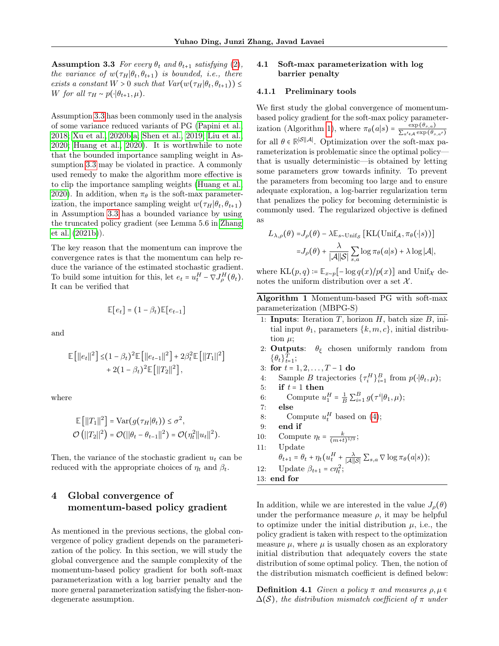**Assumption 3.3** For every  $\theta_t$  and  $\theta_{t+1}$  satisfying [\(2\)](#page-2-1), the variance of  $w(\tau_H|\theta_t, \theta_{t+1})$  is bounded, i.e., there exists a constant  $W > 0$  such that  $Var(w(\tau_H | \theta_t, \theta_{t+1})) \leq$ W for all  $\tau_H \sim p(\cdot|\theta_{t+1}, \mu)$ .

Assumption [3.3](#page-3-2) has been commonly used in the analysis of some variance reduced variants of PG [\(Papini et al.,](#page-8-6) [2018;](#page-8-6) [Xu et al., 2020b,](#page-9-12)[a;](#page-9-17) [Shen et al., 2019;](#page-9-13) [Liu et al.,](#page-8-9) [2020;](#page-8-9) [Huang et al., 2020\)](#page-8-5). It is worthwhile to note that the bounded importance sampling weight in Assumption [3.3](#page-3-2) may be violated in practice. A commonly used remedy to make the algorithm more effective is to clip the importance sampling weights [\(Huang et al.,](#page-8-5) [2020\)](#page-8-5). In addition, when  $\pi_{\theta}$  is the soft-max parameterization, the importance sampling weight  $w(\tau_H|\theta_t, \theta_{t+1})$ in Assumption [3.3](#page-3-2) has a bounded variance by using the truncated policy gradient (see Lemma 5.6 in [Zhang](#page-10-2) [et al.](#page-10-2) [\(2021b\)](#page-10-2)).

The key reason that the momentum can improve the convergence rates is that the momentum can help reduce the variance of the estimated stochastic gradient. To build some intuition for this, let  $e_t = u_t^H - \nabla J_\rho^H(\theta_t)$ . It can be verified that

$$
\mathbb{E}[e_t] = (1 - \beta_t)\mathbb{E}[e_{t-1}]
$$

and

$$
\mathbb{E}\left[\left||e_t\right||^2\right] \leq (1 - \beta_t)^2 \mathbb{E}\left[\left||e_{t-1}\right||^2\right] + 2\beta_t^2 \mathbb{E}\left[\left||T_1\right||^2\right] + 2(1 - \beta_t)^2 \mathbb{E}\left[\left||T_2\right||^2\right],
$$

where

$$
\mathbb{E} [||T_1||^2] = \text{Var}(g(\tau_H|\theta_t)) \le \sigma^2,
$$
  

$$
\mathcal{O} (||T_2||^2) = \mathcal{O} (||\theta_t - \theta_{t-1}||^2) = \mathcal{O}(\eta_t^2 ||u_t||^2).
$$

Then, the variance of the stochastic gradient  $u_t$  can be reduced with the appropriate choices of  $\eta_t$  and  $\beta_t$ .

# 4 Global convergence of momentum-based policy gradient

As mentioned in the previous sections, the global convergence of policy gradient depends on the parameterization of the policy. In this section, we will study the global convergence and the sample complexity of the momentum-based policy gradient for both soft-max parameterization with a log barrier penalty and the more general parameterization satisfying the fisher-nondegenerate assumption.

## <span id="page-4-1"></span>4.1 Soft-max parameterization with log barrier penalty

#### 4.1.1 Preliminary tools

We first study the global convergence of momentumbased policy gradient for the soft-max policy parameter-ization (Algorithm [1\)](#page-4-0), where  $\pi_{\theta}(a|s) = \frac{\exp(\theta_{s,a})}{\sum_{l=1}^{\infty} \exp(\theta_{l})}$  $\sum_{a'\in\mathcal{A}} \exp(\theta_{s,a'})$ for all  $\theta \in \mathbb{R}^{|\mathcal{S}||\mathcal{A}|}$ . Optimization over the soft-max parameterization is problematic since the optimal policy that is usually deterministic—is obtained by letting some parameters grow towards infinity. To prevent the parameters from becoming too large and to ensure adequate exploration, a log-barrier regularization term that penalizes the policy for becoming deterministic is commonly used. The regularized objective is defined as

$$
L_{\lambda,\rho}(\theta) = J_{\rho}(\theta) - \lambda \mathbb{E}_{s \sim \text{Unif}_{\mathcal{S}}} [\text{KL}(\text{Unif}_{\mathcal{A}}, \pi_{\theta}(\cdot | s))]
$$

$$
= J_{\rho}(\theta) + \frac{\lambda}{|\mathcal{A}||\mathcal{S}|} \sum_{s,a} \log \pi_{\theta}(a|s) + \lambda \log |\mathcal{A}|,
$$

where  $KL(p, q) \coloneqq \mathbb{E}_{x \sim p}[-\log q(x)/p(x)]$  and  $Unif_{\mathcal{X}}$  denotes the uniform distribution over a set  $\mathcal{X}$ .

<span id="page-4-0"></span>Algorithm 1 Momentum-based PG with soft-max parameterization (MBPG-S)

- 1: Inputs: Iteration  $T$ , horizon  $H$ , batch size  $B$ , initial input  $\theta_1$ , parameters  $\{k, m, c\}$ , initial distribution  $\mu$ ;
- 2: **Outputs**:  $\theta_{\xi}$  chosen uniformly random from  $\{\theta_t\}_{t=1}^T;$
- 3: for  $t = 1, 2, ..., T 1$  do
- 4: Sample B trajectories  $\{\tau_i^H\}_{i=1}^B$  from  $p(\cdot|\theta_t,\mu);$
- 5: if  $t = 1$  then
- 6: Compute  $u_1^H = \frac{1}{B} \sum_{i=1}^B g(\tau^i | \theta_1, \mu);$
- 7: else
- 8: Compute  $u_t^H$  based on [\(4\)](#page-3-3);
- 9: end if
- 10: Compute  $\eta_t = \frac{k}{(m+t)^{1/3}}$ ;
- 11: Update  $\theta_{t+1} = \theta_t + \eta_t (u_t^H + \frac{\lambda}{|\mathcal{A}||\mathcal{S}|} \sum_{s,a} \nabla \log \pi_\theta(a|s));$ 12: Update  $\beta_{t+1} = c\eta_t^2$ ; 13: end for

In addition, while we are interested in the value  $J_{\rho}(\theta)$ under the performance measure  $\rho$ , it may be helpful to optimize under the initial distribution  $\mu$ , i.e., the policy gradient is taken with respect to the optimization measure  $\mu$ , where  $\mu$  is usually chosen as an exploratory initial distribution that adequately covers the state distribution of some optimal policy. Then, the notion of the distribution mismatch coefficient is defined below:

**Definition 4.1** Given a policy  $\pi$  and measures  $\rho, \mu \in$  $\Delta(\mathcal{S})$ , the distribution mismatch coefficient of  $\pi$  under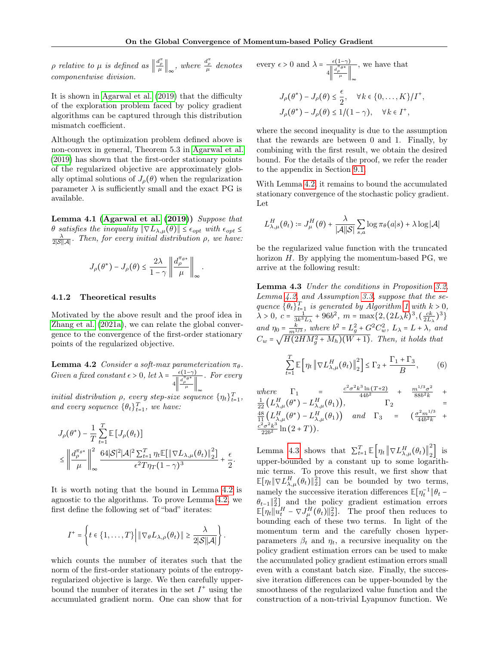p relative to  $\mu$  is defined as  $\left\|\frac{d_{\rho}^{\pi}}{\mu}\right\|_{\infty}$ , where  $\frac{d_{\rho}^{\pi}}{\mu}$  denotes componentwise division.

It is shown in [Agarwal et al.](#page-8-8) [\(2019\)](#page-8-8) that the difficulty of the exploration problem faced by policy gradient algorithms can be captured through this distribution mismatch coefficient.

Although the optimization problem defined above is non-convex in general, Theorem 5.3 in [Agarwal et al.](#page-8-8) [\(2019\)](#page-8-8) has shown that the first-order stationary points of the regularized objective are approximately globally optimal solutions of  $J_{\rho}(\theta)$  when the regularization parameter  $\lambda$  is sufficiently small and the exact PG is available.

<span id="page-5-2"></span>Lemma 4.1 [\(Agarwal et al.](#page-8-8)  $(2019)$ ) Suppose that θ satisfies the inequality  $\|\nabla L_{\lambda,\mu}(\theta)\|$  ≤  $\epsilon_{opt}$  with  $\epsilon_{opt}$  ≤  $\frac{\lambda}{2|\mathcal{S}||\mathcal{A}|}$ . Then, for every initial distribution  $\rho$ , we have:

$$
J_{\rho}(\theta^*) - J_{\rho}(\theta) \leq \frac{2\lambda}{1-\gamma} \left\| \frac{d_{\rho}^{\pi_{\theta^*}}}{\mu} \right\|_\infty.
$$

#### 4.1.2 Theoretical results

Motivated by the above result and the proof idea in [Zhang et al.](#page-10-1) [\(2021a\)](#page-10-1), we can relate the global convergence to the convergence of the first-order stationary points of the regularized objective.

<span id="page-5-0"></span>**Lemma 4.2** Consider a soft-max parameterization  $\pi_{\theta}$ . Given a fixed constant  $\epsilon > 0$ , let  $\lambda = \frac{\epsilon(1-\gamma)}{\|\mathbf{d}^{\pi}\mathbf{e}^*\|}$  $4\left\Vert \frac{d_{\rho}^{\pi}\theta^*}{\mu}\right\Vert_{\infty}$ . For every

initial distribution  $\rho$ , every step-size sequence  $\{\eta_t\}_{t=1}^T$ , and every sequence  $\{\theta_t\}_{t=1}^T$ , we have:

$$
\begin{aligned} &J_{\rho}(\theta^*)-\frac{1}{T}\sum_{t=1}^T\mathbb{E}\left[J_{\rho}(\theta_t)\right]\\ &\leq \left\|\frac{d_{\rho}^{\pi_{\theta^*}}}{\mu}\right\|_{\infty}^2\frac{64|\mathcal{S}|^2|\mathcal{A}|^2\sum_{t=1}^T\eta_t\mathbb{E}\big[\left\|\nabla L_{\lambda,\mu}(\theta_t)\right\|_2^2\big]}{\epsilon^2T\eta_T(1-\gamma)^3}+\frac{\epsilon}{2}. \end{aligned}
$$

It is worth noting that the bound in Lemma [4.2](#page-5-0) is agnostic to the algorithms. To prove Lemma [4.2,](#page-5-0) we first define the following set of "bad" iterates:

$$
I^+=\left\{t\in\{1,\ldots,T\}\Big|\left\|\nabla_{\theta}L_{\lambda,\rho}(\theta_t)\right\|\geq\frac{\lambda}{2|\mathcal{S}||\mathcal{A}|}\right\}.
$$

which counts the number of iterates such that the norm of the first-order stationary points of the entropyregularized objective is large. We then carefully upperbound the number of iterates in the set  $I^+$  using the accumulated gradient norm. One can show that for

every 
$$
\epsilon > 0
$$
 and  $\lambda = \frac{\epsilon(1-\gamma)}{4 \left\| \frac{d_{\rho}^{\pi}\theta^*}{\mu} \right\|_{\infty}}$ , we have that  
\n
$$
J_{\rho}(\theta^*) - J_{\rho}(\theta) \le \frac{\epsilon}{2}, \quad \forall k \in \{0, ..., K\}/I^+
$$
\n
$$
J_{\rho}(\theta^*) - J_{\rho}(\theta) \le 1/(1-\gamma), \quad \forall k \in I^+,
$$

where the second inequality is due to the assumption that the rewards are between 0 and 1. Finally, by combining with the first result, we obtain the desired bound. For the details of the proof, we refer the reader to the appendix in Section [9.1.](#page-13-0)

,

With Lemma [4.2,](#page-5-0) it remains to bound the accumulated stationary convergence of the stochastic policy gradient. Let

$$
L_{\lambda,\mu}^H(\theta_t) \coloneqq J_\mu^H(\theta) + \frac{\lambda}{|\mathcal{A}||\mathcal{S}|} \sum_{s,a} \log \pi_\theta(a|s) + \lambda \log |\mathcal{A}|
$$

be the regularized value function with the truncated horizon  $H$ . By applying the momentum-based PG, we arrive at the following result:

<span id="page-5-1"></span>Lemma 4.3 Under the conditions in Proposition [3.2,](#page-3-4) Lemma [4.2,](#page-5-0) and Assumption [3.3,](#page-3-2) suppose that the sequence  $\{\theta_t\}_{t=1}^T$  is generated by Algorithm [1](#page-4-0) with  $k > 0$ ,  $\lambda > 0, c = \frac{1}{3k^3 L_{\lambda}} + 96b^2, m = \max\{2, (2L_{\lambda}k)^3, (\frac{ck}{2L_{\lambda}})^3\}$ and  $\eta_0 = \frac{k}{m^{1/3}}$ , where  $b^2 = L_g^2 + G^2 C_w^2$ ,  $L_\lambda = L + \lambda$ , and  $C_w = \sqrt{H(2HM_g^2 + M_h)(W + 1)}$ . Then, it holds that

$$
\sum_{t=1}^{T} \mathbb{E}\left[\eta_t \left\|\nabla L_{\lambda,\mu}^H(\theta_t)\right\|_2^2\right] \le \Gamma_2 + \frac{\Gamma_1 + \Gamma_3}{B},\tag{6}
$$

where 
$$
\Gamma_1 = \frac{c^2 \sigma^2 k^3 \ln(T+2)}{44b^2} + \frac{m^{1/3} \sigma^2}{88b^2 k} + \frac{1}{22} (L_{\lambda,\mu}^H(\theta^*) - L_{\lambda,\mu}^H(\theta_1)), \qquad \Gamma_2 = \frac{48}{11} (L_{\lambda,\mu}^H(\theta^*) - L_{\lambda,\mu}^H(\theta_1)) \quad and \quad \Gamma_3 = \frac{c^2 m^{1/3}}{44b^2 k} + \frac{c^2 \sigma^2 k^3}{22b^2} \ln(2+T)).
$$

Lemma [4.3](#page-5-1) shows that  $\sum_{t=1}^{T} \mathbb{E} \left[ \eta_t \left\| \nabla L_{\lambda,\mu}^H(\theta_t) \right\|_2^2 \right]$  $\begin{bmatrix} 2 \end{bmatrix}$  is upper-bounded by a constant up to some logarithmic terms. To prove this result, we first show that  $\mathbb{E}[\eta_t \|\nabla L_{\lambda,\mu}^H(\theta_t)\|_2^2]$  can be bounded by two terms, namely the successive iteration differences  $\mathbb{E}[\eta_t^{-1} \| \theta_t \theta_{t-1}$ ||2] and the policy gradient estimation errors  $\mathbb{E}[\eta_t || u_t^H - \nabla J_\mu^H(\theta_t) ||_2^2]$ . The proof then reduces to bounding each of these two terms. In light of the momentum term and the carefully chosen hyperparameters  $\beta_t$  and  $\eta_t$ , a recursive inequality on the policy gradient estimation errors can be used to make the accumulated policy gradient estimation errors small even with a constant batch size. Finally, the successive iteration differences can be upper-bounded by the smoothness of the regularized value function and the construction of a non-trivial Lyapunov function. We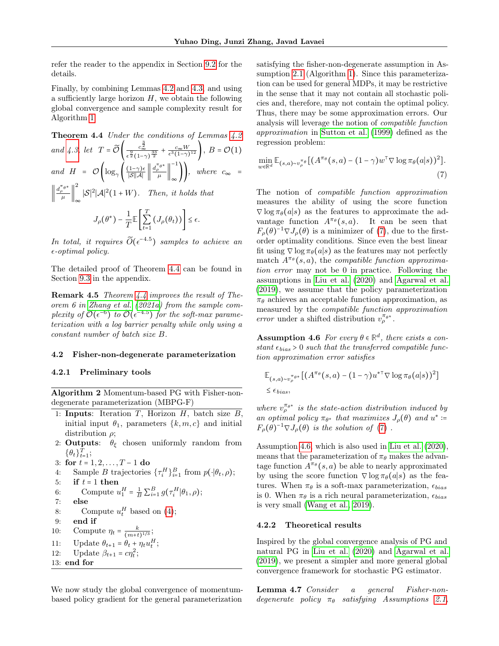refer the reader to the appendix in Section [9.2](#page-14-1) for the details.

Finally, by combining Lemmas [4.2](#page-5-0) and [4.3,](#page-5-1) and using a sufficiently large horizon  $H$ , we obtain the following global convergence and sample complexity result for Algorithm [1.](#page-4-0)

<span id="page-6-1"></span>**Theorem 4.4** Under the conditions of Lemmas 4.2  
and 4.3, let 
$$
T = \widetilde{\mathcal{O}}\left(\frac{c_{\infty}^{\frac{3}{2}}}{\epsilon^{\frac{3}{2}}(1-\gamma)^{\frac{33}{2}}} + \frac{c_{\infty}W}{\epsilon^3(1-\gamma)^{12}}\right)
$$
,  $B = \mathcal{O}(1)$   
and  $H = \mathcal{O}\left(\log_{\gamma}\left(\frac{(1-\gamma)\epsilon}{|\mathcal{S}||\mathcal{A}|}\left\|\frac{d_{\rho}^{\pi_{\theta}*}}{\mu}\right\|_{\infty}^{-1}\right)\right)$ , where  $c_{\infty} = \left\|\frac{d_{\rho}^{\pi_{\theta}*}}{\mu}\right\|_{\infty}^{2} |\mathcal{S}|^{2} |\mathcal{A}|^{2} (1+W)$ . Then, it holds that  
 $J_{\rho}(\theta^{*}) - \frac{1}{T} \mathbb{E}\left[\sum_{t=1}^{T} (J_{\rho}(\theta_{t}))\right] \le \epsilon$ .

In total, it requires  $\widetilde{O}(\epsilon^{-4.5})$  samples to achieve an  $\epsilon$ -optimal policy.

The detailed proof of Theorem [4.4](#page-6-1) can be found in Section [9.3](#page-18-0) in the appendix.

**Remark 4.5** Theorem  $4.4$  improves the result of Theorem 6 in [Zhang et al.](#page-10-1) [\(2021a\)](#page-10-1) from the sample complexity of  $\widetilde{\mathcal{O}}(\epsilon^{-6})$  to  $\widetilde{\mathcal{O}}(\epsilon^{-4.5})$  for the soft-max parameterization with a log barrier penalty while only using a constant number of batch size B.

#### <span id="page-6-5"></span>4.2 Fisher-non-degenerate parameterization

#### 4.2.1 Preliminary tools

<span id="page-6-4"></span>Algorithm 2 Momentum-based PG with Fisher-nondegenerate parameterization (MBPG-F)

- 1: **Inputs**: Iteration  $T$ , Horizon  $H$ , batch size  $B$ , initial input  $\theta_1$ , parameters  $\{k,m,c\}$  and initial distribution  $\rho$ ;
- 2: **Outputs**:  $\theta_{\xi}$  chosen uniformly random from  $\{\theta_t\}_{t=1}^T;$

3: for 
$$
t = 1, 2, ..., T - 1
$$
 do

4: Sample *B* trajectories 
$$
\{\tau_i^H\}_{i=1}^B
$$
 from  $p(\cdot|\theta_t, \rho)$ ;

5: if 
$$
t = 1
$$
 then

6: Compute 
$$
u_1^H = \frac{1}{B} \sum_{i=1}^B g(\tau_i^H | \theta_1, \rho);
$$

$$
7: \qquad \mathbf{else}
$$

- 8: Compute  $u_t^H$  based on [\(4\)](#page-3-3);
- 9: end if
- 10: Compute  $\eta_t = \frac{k}{(m+t)^{1/3}}$ ;
- 11: Update  $\theta_{t+1} = \theta_t + \eta_t u_t^H$ ;
- 12: Update  $\beta_{t+1} = c\eta_t^2$ ;
- 13: end for

We now study the global convergence of momentumbased policy gradient for the general parameterization satisfying the fisher-non-degenerate assumption in Assumption [2.1](#page-2-0) (Algorithm [1\)](#page-4-0). Since this parameterization can be used for general MDPs, it may be restrictive in the sense that it may not contain all stochastic policies and, therefore, may not contain the optimal policy. Thus, there may be some approximation errors. Our analysis will leverage the notion of compatible function approximation in [Sutton et al.](#page-9-16) [\(1999\)](#page-9-16) defined as the regression problem:

<span id="page-6-2"></span>
$$
\min_{w \in \mathbb{R}^d} \mathbb{E}_{(s,a) \sim v_{\rho}^{\pi_{\theta}}} [(A^{\pi_{\theta}}(s,a) - (1-\gamma)w^{\top} \nabla \log \pi_{\theta}(a|s))^2].
$$
\n(7)

The notion of compatible function approximation measures the ability of using the score function  $\nabla$ log  $\pi_{\theta}(a|s)$  as the features to approximate the advantage function  $A^{\pi_\theta}(s, a)$ . It can be seen that  $F_{\rho}(\theta)^{-1} \nabla J_{\rho}(\theta)$  is a minimizer of [\(7\)](#page-6-2), due to the firstorder optimality conditions. Since even the best linear fit using  $\nabla$  log  $\pi_{\theta}(a|s)$  as the features may not perfectly match  $A^{\pi_{\theta}}(s, a)$ , the compatible function approximation error may not be 0 in practice. Following the assumptions in [Liu et al.](#page-8-9) [\(2020\)](#page-8-9) and [Agarwal et al.](#page-8-8) [\(2019\)](#page-8-8), we assume that the policy parameterization  $\pi_{\theta}$  achieves an acceptable function approximation, as measured by the compatible function approximation error under a shifted distribution  $v_{\rho}^{\pi_{\theta^*}}$ .

<span id="page-6-3"></span>**Assumption 4.6** For every  $\theta \in \mathbb{R}^d$ , there exists a constant  $\epsilon_{bias} > 0$  such that the transferred compatible function approximation error satisfies

$$
\mathbb{E}_{(s,a)\sim v_{\rho}^{\pi_{\theta^*}}}[(A^{\pi_{\theta}}(s,a)-(1-\gamma)u^{*\top}\nabla \log \pi_{\theta}(a|s))^2]
$$
  
\$\leq \epsilon\_{bias},

where  $v_{\rho}^{\pi_{\theta^*}}$  is the state-action distribution induced by an optimal policy  $\pi_{\theta^*}$  that maximizes  $J_\rho(\theta)$  and  $u^*$  :=  $F_{\rho}(\theta)^{-1} \nabla J_{\rho}(\theta)$  is the solution of [\(7\)](#page-6-2).

Assumption [4.6,](#page-6-3) which is also used in [Liu et al.](#page-8-9) [\(2020\)](#page-8-9), means that the parameterization of  $\pi_{\theta}$  makes the advantage function  $A^{\pi_{\theta}}(s, a)$  be able to nearly approximated by using the score function  $\nabla$ log  $\pi_{\theta}(a|s)$  as the features. When  $\pi_{\theta}$  is a soft-max parameterization,  $\epsilon_{bias}$ is 0. When  $\pi_{\theta}$  is a rich neural parameterization,  $\epsilon_{bias}$ is very small [\(Wang et al., 2019\)](#page-9-14).

#### 4.2.2 Theoretical results

Inspired by the global convergence analysis of PG and natural PG in [Liu et al.](#page-8-9) [\(2020\)](#page-8-9) and [Agarwal et al.](#page-8-8) [\(2019\)](#page-8-8), we present a simpler and more general global convergence framework for stochastic PG estimator.

<span id="page-6-0"></span>Lemma 4.7 Consider a general Fisher-nondegenerate policy  $\pi_{\theta}$  satisfying Assumptions [2.1,](#page-2-0)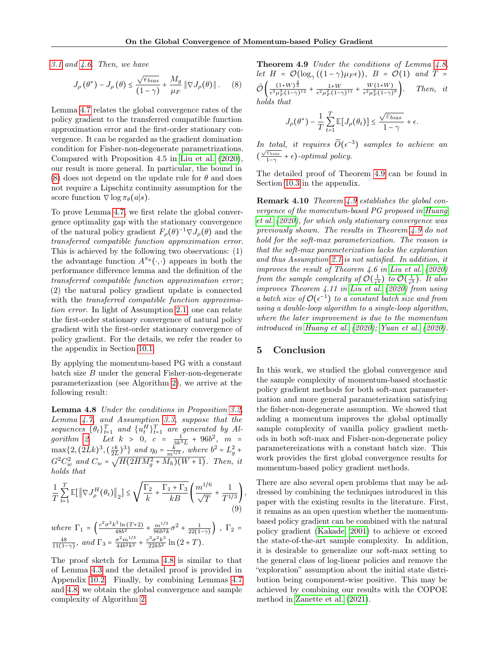[3.1](#page-3-0) and  $4.6$ . Then, we have

$$
J_{\rho}(\theta^*) - J_{\rho}(\theta) \le \frac{\sqrt{\epsilon_{bias}}}{(1-\gamma)} + \frac{M_g}{\mu_F} \|\nabla J_{\rho}(\theta)\|.
$$
 (8)

Lemma [4.7](#page-6-0) relates the global convergence rates of the policy gradient to the transferred compatible function approximation error and the first-order stationary convergence. It can be regarded as the gradient domination condition for Fisher-non-degenerate parametrizations. Compared with Proposition 4.5 in [Liu et al.](#page-8-9) [\(2020\)](#page-8-9), our result is more general. In particular, the bound in [\(8\)](#page-7-0) does not depend on the update rule for  $\theta$  and does not require a Lipschitz continuity assumption for the score function  $\nabla$  log  $\pi_{\theta}(a|s)$ .

To prove Lemma [4.7,](#page-6-0) we first relate the global convergence optimality gap with the stationary convergence of the natural policy gradient  $F_{\rho}(\theta)^{-1} \nabla J_{\rho}(\theta)$  and the transferred compatible function approximation error. This is achieved by the following two observations: (1) the advantage function  $A^{\pi_{\theta}}(\cdot, \cdot)$  appears in both the performance difference lemma and the definition of the transferred compatible function approximation error ; (2) the natural policy gradient update is connected with the transferred compatible function approximation error. In light of Assumption [2.1,](#page-2-0) one can relate the first-order stationary convergence of natural policy gradient with the first-order stationary convergence of policy gradient. For the details, we refer the reader to the appendix in Section [10.1.](#page-19-0)

By applying the momentum-based PG with a constant batch size  $B$  under the general Fisher-non-degenerate parameterization (see Algorithm [2\)](#page-6-4), we arrive at the following result:

<span id="page-7-1"></span>Lemma 4.8 Under the conditions in Proposition [3.2,](#page-3-4) Lemma [4.7,](#page-6-0) and Assumption [3.3,](#page-3-2) suppose that the sequences  $\{\theta_t\}_{t=1}^T$  and  $\{u_t^H\}_{t=1}^T$  are generated by Al-gorithm [2.](#page-6-4) Let  $k > 0$ ,  $c = \frac{1}{3k^3L} + 96b^2$ ,  $m =$  $\max\{2,(2Lk)^3,(\frac{ck}{2L})^3\}$  and  $\eta_0 = \frac{k}{m^{1/3}}$ , where  $b^2 = L_g^2 +$  $G^{2}C_{w}^{2}$  and  $C_{w} = \sqrt{H(2HM_{g}^{2} + M_{h})(W + 1)}$ . Then, it holds that

$$
\frac{1}{T} \sum_{t=1}^{T} \mathbb{E}[\left\| \nabla J_{\rho}^{H}(\theta_{t}) \right\|_{2}] \leq \sqrt{\frac{\Gamma_{2}}{k} + \frac{\Gamma_{1} + \Gamma_{3}}{kB}} \left( \frac{m^{1/6}}{\sqrt{T}} + \frac{1}{T^{1/3}} \right),\tag{9}
$$

where 
$$
\Gamma_1 = \left(\frac{c^2 \sigma^2 k^3 \ln(T+2)}{48b^2} + \frac{m^{1/3}}{96b^2k} \sigma^2 + \frac{1}{22(1-\gamma)}\right)
$$
,  $\Gamma_2 = \frac{48}{11(1-\gamma)}$ , and  $\Gamma_3 = \frac{\sigma^2 m^{1/3}}{44b^2k^2} + \frac{c^2 \sigma^2 k^3}{22kb^2} \ln(2+T)$ .

<span id="page-7-2"></span>The proof sketch for Lemma [4.8](#page-7-1) is similar to that of Lemma [4.3](#page-5-1) and the detailed proof is provided in Appendix [10.2.](#page-20-0) Finally, by combining Lemmas [4.7](#page-6-0) and [4.8,](#page-7-1) we obtain the global convergence and sample complexity of Algorithm [2.](#page-6-4)

<span id="page-7-0"></span>Theorem 4.9 Under the conditions of Lemma [4.8,](#page-7-1) let  $H = \mathcal{O}(\log_{\gamma}((1-\gamma)\mu_F\epsilon)), B = \mathcal{O}(1)$  and  $T =$  $\tilde{\mathcal{O}}\left(\frac{(1+W)^{\frac{3}{2}}}{\epsilon^3\mu_F^3(1-\gamma)^{12}}+\frac{1+W}{\epsilon^2\mu_F^2(1-\gamma)^{11}}+\frac{W(1+W)}{\epsilon^2\mu_F^2(1-\gamma)}\right)$ Then, it holds that

$$
J_{\rho}(\theta^*) - \frac{1}{T} \sum_{t=1}^T \mathbb{E}[J_{\rho}(\theta_t)] \le \frac{\sqrt{\varepsilon_{bias}}}{1 - \gamma} + \epsilon.
$$

In total, it requires  $\widetilde{O}(\epsilon^{-3})$  samples to achieve an  $\frac{\sqrt{\varepsilon_{bias}}}{1-\gamma}$  $\frac{\varepsilon_{bias}}{1-\gamma} + \epsilon$ )-optimal policy.

The detailed proof of Theorem [4.9](#page-7-2) can be found in Section [10.3](#page-23-0) in the appendix.

Remark 4.10 Theorem [4.9](#page-7-2) establishes the global convergence of the momentum-based PG proposed in [Huang](#page-8-5) [et al.](#page-8-5) [\(2020\)](#page-8-5), for which only stationary convergence was previously shown. The results in Theorem [4.9](#page-7-2) do not hold for the soft-max parameterization. The reason is that the soft-max parameterization lacks the exploration and thus Assumption [2.1](#page-2-0) is not satisfied. In addition, it improves the result of Theorem 4.6 in [Liu et al.](#page-8-9) [\(2020\)](#page-8-9) from the sample complexity of  $\mathcal{O}(\frac{1}{\epsilon^4})$  to  $\widetilde{\mathcal{O}}(\frac{1}{\epsilon^3})$ . It also improves Theorem 4.11 in [Liu et al.](#page-8-9) [\(2020\)](#page-8-9) from using a batch size of  $\mathcal{O}(\epsilon^{-1})$  to a constant batch size and from using a double-loop algorithm to a single-loop algorithm, where the later improvement is due to the momentum introduced in [Huang et al.](#page-8-5) [\(2020\)](#page-8-5); [Yuan et al.](#page-9-10) [\(2020\)](#page-9-10).

# 5 Conclusion

In this work, we studied the global convergence and the sample complexity of momentum-based stochastic policy gradient methods for both soft-max parameterization and more general parameterization satisfying the fisher-non-degenerate assumption. We showed that adding a momentum improves the global optimally sample complexity of vanilla policy gradient methods in both soft-max and Fisher-non-degenerate policy parametereizations with a constant batch size. This work provides the first global convergence results for momentum-based policy gradient methods.

There are also several open problems that may be addressed by combining the techniques introduced in this paper with the existing results in the literature. First, it remains as an open question whether the momentumbased policy gradient can be combined with the natural policy gradient [\(Kakade, 2001\)](#page-8-1) to achieve or exceed the state-of-the-art sample complexity. In addition, it is desirable to generalize our soft-max setting to the general class of log-linear policies and remove the "exploration" assumption about the initial state distribution being component-wise positive. This may be achieved by combining our results with the COPOE method in [Zanette et al.](#page-10-4) [\(2021\)](#page-10-4).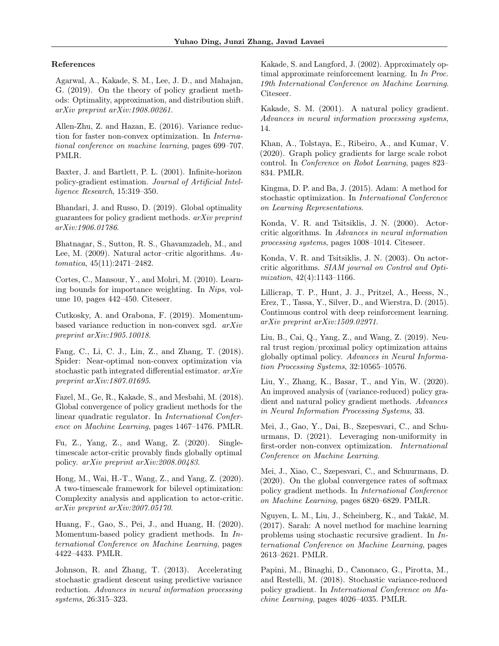## References

<span id="page-8-8"></span>Agarwal, A., Kakade, S. M., Lee, J. D., and Mahajan, G. (2019). On the theory of policy gradient methods: Optimality, approximation, and distribution shift. arXiv preprint arXiv:1908.00261.

<span id="page-8-14"></span>Allen-Zhu, Z. and Hazan, E. (2016). Variance reduction for faster non-convex optimization. In International conference on machine learning, pages 699–707. PMLR.

<span id="page-8-11"></span>Baxter, J. and Bartlett, P. L. (2001). Infinite-horizon policy-gradient estimation. Journal of Artificial Intelligence Research, 15:319–350.

<span id="page-8-19"></span>Bhandari, J. and Russo, D. (2019). Global optimality guarantees for policy gradient methods. arXiv preprint arXiv:1906.01786.

<span id="page-8-12"></span>Bhatnagar, S., Sutton, R. S., Ghavamzadeh, M., and Lee, M. (2009). Natural actor–critic algorithms. Automatica, 45(11):2471–2482.

<span id="page-8-25"></span>Cortes, C., Mansour, Y., and Mohri, M. (2010). Learning bounds for importance weighting. In Nips, volume 10, pages 442–450. Citeseer.

<span id="page-8-7"></span>Cutkosky, A. and Orabona, F. (2019). Momentumbased variance reduction in non-convex sgd. arXiv preprint arXiv:1905.10018.

<span id="page-8-15"></span>Fang, C., Li, C. J., Lin, Z., and Zhang, T. (2018). Spider: Near-optimal non-convex optimization via stochastic path integrated differential estimator. arXiv preprint arXiv:1807.01695.

<span id="page-8-18"></span>Fazel, M., Ge, R., Kakade, S., and Mesbahi, M. (2018). Global convergence of policy gradient methods for the linear quadratic regulator. In International Conference on Machine Learning, pages 1467–1476. PMLR.

<span id="page-8-24"></span>Fu, Z., Yang, Z., and Wang, Z. (2020). Singletimescale actor-critic provably finds globally optimal policy. arXiv preprint arXiv:2008.00483.

<span id="page-8-23"></span>Hong, M., Wai, H.-T., Wang, Z., and Yang, Z. (2020). A two-timescale framework for bilevel optimization: Complexity analysis and application to actor-critic. arXiv preprint arXiv:2007.05170.

<span id="page-8-5"></span>Huang, F., Gao, S., Pei, J., and Huang, H. (2020). Momentum-based policy gradient methods. In International Conference on Machine Learning, pages 4422–4433. PMLR.

<span id="page-8-13"></span>Johnson, R. and Zhang, T. (2013). Accelerating stochastic gradient descent using predictive variance reduction. Advances in neural information processing systems, 26:315–323.

<span id="page-8-10"></span>Kakade, S. and Langford, J. (2002). Approximately optimal approximate reinforcement learning. In In Proc. 19th International Conference on Machine Learning. Citeseer.

<span id="page-8-1"></span>Kakade, S. M. (2001). A natural policy gradient. Advances in neural information processing systems, 14.

<span id="page-8-3"></span>Khan, A., Tolstaya, E., Ribeiro, A., and Kumar, V. (2020). Graph policy gradients for large scale robot control. In Conference on Robot Learning, pages 823– 834. PMLR.

<span id="page-8-4"></span>Kingma, D. P. and Ba, J. (2015). Adam: A method for stochastic optimization. In International Conference on Learning Representations.

<span id="page-8-0"></span>Konda, V. R. and Tsitsiklis, J. N. (2000). Actorcritic algorithms. In Advances in neural information processing systems, pages 1008–1014. Citeseer.

<span id="page-8-17"></span>Konda, V. R. and Tsitsiklis, J. N. (2003). On actorcritic algorithms. SIAM journal on Control and Optimization, 42(4):1143–1166.

<span id="page-8-2"></span>Lillicrap, T. P., Hunt, J. J., Pritzel, A., Heess, N., Erez, T., Tassa, Y., Silver, D., and Wierstra, D. (2015). Continuous control with deep reinforcement learning. arXiv preprint arXiv:1509.02971.

<span id="page-8-22"></span>Liu, B., Cai, Q., Yang, Z., and Wang, Z. (2019). Neural trust region/proximal policy optimization attains globally optimal policy. Advances in Neural Information Processing Systems, 32:10565–10576.

<span id="page-8-9"></span>Liu, Y., Zhang, K., Basar, T., and Yin, W. (2020). An improved analysis of (variance-reduced) policy gradient and natural policy gradient methods. Advances in Neural Information Processing Systems, 33.

<span id="page-8-21"></span>Mei, J., Gao, Y., Dai, B., Szepesvari, C., and Schuurmans, D. (2021). Leveraging non-uniformity in first-order non-convex optimization. International Conference on Machine Learning.

<span id="page-8-20"></span>Mei, J., Xiao, C., Szepesvari, C., and Schuurmans, D. (2020). On the global convergence rates of softmax policy gradient methods. In International Conference on Machine Learning, pages 6820–6829. PMLR.

<span id="page-8-16"></span>Nguyen, L. M., Liu, J., Scheinberg, K., and Takáč, M. (2017). Sarah: A novel method for machine learning problems using stochastic recursive gradient. In International Conference on Machine Learning, pages 2613–2621. PMLR.

<span id="page-8-6"></span>Papini, M., Binaghi, D., Canonaco, G., Pirotta, M., and Restelli, M. (2018). Stochastic variance-reduced policy gradient. In International Conference on Machine Learning, pages 4026–4035. PMLR.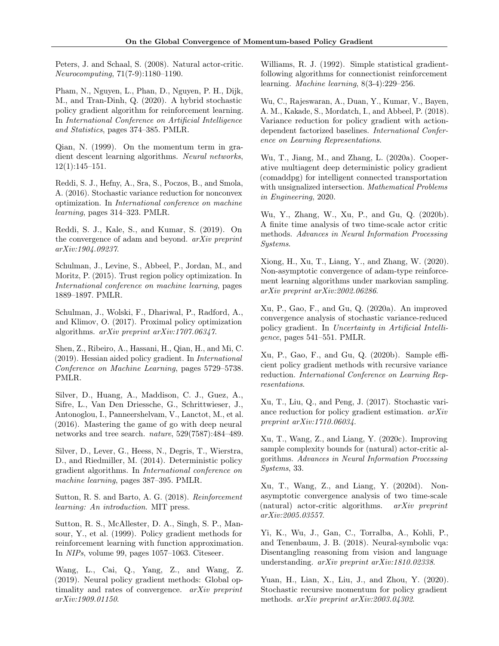<span id="page-9-19"></span>Peters, J. and Schaal, S. (2008). Natural actor-critic. Neurocomputing, 71(7-9):1180–1190.

<span id="page-9-11"></span>Pham, N., Nguyen, L., Phan, D., Nguyen, P. H., Dijk, M., and Tran-Dinh, Q. (2020). A hybrid stochastic policy gradient algorithm for reinforcement learning. In International Conference on Artificial Intelligence and Statistics, pages 374–385. PMLR.

<span id="page-9-7"></span>Qian, N. (1999). On the momentum term in gradient descent learning algorithms. Neural networks, 12(1):145–151.

<span id="page-9-20"></span>Reddi, S. J., Hefny, A., Sra, S., Poczos, B., and Smola, A. (2016). Stochastic variance reduction for nonconvex optimization. In International conference on machine learning, pages 314–323. PMLR.

<span id="page-9-8"></span>Reddi, S. J., Kale, S., and Kumar, S. (2019). On the convergence of adam and beyond. arXiv preprint arXiv:1904.09237.

<span id="page-9-2"></span>Schulman, J., Levine, S., Abbeel, P., Jordan, M., and Moritz, P. (2015). Trust region policy optimization. In International conference on machine learning, pages 1889–1897. PMLR.

<span id="page-9-3"></span>Schulman, J., Wolski, F., Dhariwal, P., Radford, A., and Klimov, O. (2017). Proximal policy optimization algorithms. arXiv preprint arXiv:1707.06347.

<span id="page-9-13"></span>Shen, Z., Ribeiro, A., Hassani, H., Qian, H., and Mi, C. (2019). Hessian aided policy gradient. In International Conference on Machine Learning, pages 5729–5738. PMLR.

<span id="page-9-4"></span>Silver, D., Huang, A., Maddison, C. J., Guez, A., Sifre, L., Van Den Driessche, G., Schrittwieser, J., Antonoglou, I., Panneershelvam, V., Lanctot, M., et al. (2016). Mastering the game of go with deep neural networks and tree search. nature, 529(7587):484–489.

<span id="page-9-1"></span>Silver, D., Lever, G., Heess, N., Degris, T., Wierstra, D., and Riedmiller, M. (2014). Deterministic policy gradient algorithms. In International conference on machine learning, pages 387–395. PMLR.

<span id="page-9-15"></span>Sutton, R. S. and Barto, A. G. (2018). Reinforcement learning: An introduction. MIT press.

<span id="page-9-16"></span>Sutton, R. S., McAllester, D. A., Singh, S. P., Mansour, Y., et al. (1999). Policy gradient methods for reinforcement learning with function approximation. In NIPs, volume 99, pages 1057–1063. Citeseer.

<span id="page-9-14"></span>Wang, L., Cai, Q., Yang, Z., and Wang, Z. (2019). Neural policy gradient methods: Global optimality and rates of convergence. arXiv preprint arXiv:1909.01150.

<span id="page-9-0"></span>Williams, R. J. (1992). Simple statistical gradientfollowing algorithms for connectionist reinforcement learning. Machine learning, 8(3-4):229–256.

<span id="page-9-18"></span>Wu, C., Rajeswaran, A., Duan, Y., Kumar, V., Bayen, A. M., Kakade, S., Mordatch, I., and Abbeel, P. (2018). Variance reduction for policy gradient with actiondependent factorized baselines. International Conference on Learning Representations.

<span id="page-9-6"></span>Wu, T., Jiang, M., and Zhang, L. (2020a). Cooperative multiagent deep deterministic policy gradient (comaddpg) for intelligent connected transportation with unsignalized intersection. Mathematical Problems in Engineering, 2020.

<span id="page-9-23"></span>Wu, Y., Zhang, W., Xu, P., and Gu, Q. (2020b). A finite time analysis of two time-scale actor critic methods. Advances in Neural Information Processing Systems.

<span id="page-9-9"></span>Xiong, H., Xu, T., Liang, Y., and Zhang, W. (2020). Non-asymptotic convergence of adam-type reinforcement learning algorithms under markovian sampling. arXiv preprint arXiv:2002.06286.

<span id="page-9-17"></span>Xu, P., Gao, F., and Gu, Q. (2020a). An improved convergence analysis of stochastic variance-reduced policy gradient. In Uncertainty in Artificial Intelligence, pages 541–551. PMLR.

<span id="page-9-12"></span>Xu, P., Gao, F., and Gu, Q. (2020b). Sample efficient policy gradient methods with recursive variance reduction. International Conference on Learning Representations.

<span id="page-9-21"></span>Xu, T., Liu, Q., and Peng, J. (2017). Stochastic variance reduction for policy gradient estimation. arXiv preprint arXiv:1710.06034.

<span id="page-9-22"></span>Xu, T., Wang, Z., and Liang, Y. (2020c). Improving sample complexity bounds for (natural) actor-critic algorithms. Advances in Neural Information Processing Systems, 33.

<span id="page-9-24"></span>Xu, T., Wang, Z., and Liang, Y. (2020d). Nonasymptotic convergence analysis of two time-scale (natural) actor-critic algorithms. arXiv preprint arXiv:2005.03557.

<span id="page-9-5"></span>Yi, K., Wu, J., Gan, C., Torralba, A., Kohli, P., and Tenenbaum, J. B. (2018). Neural-symbolic vqa: Disentangling reasoning from vision and language understanding. arXiv preprint arXiv:1810.02338.

<span id="page-9-10"></span>Yuan, H., Lian, X., Liu, J., and Zhou, Y. (2020). Stochastic recursive momentum for policy gradient methods. arXiv preprint arXiv:2003.04302.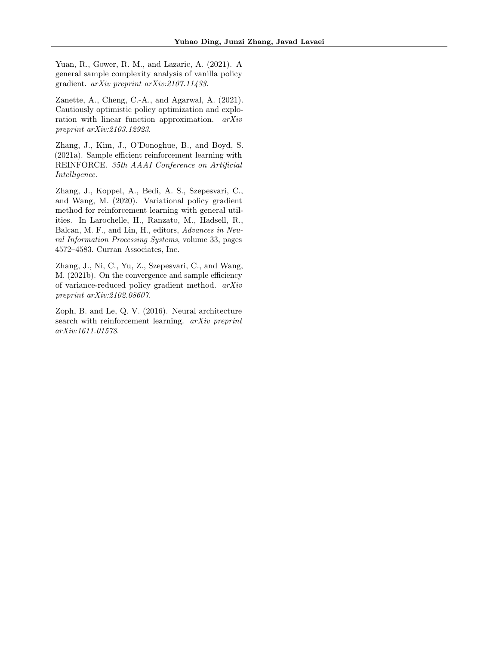<span id="page-10-3"></span>Yuan, R., Gower, R. M., and Lazaric, A. (2021). A general sample complexity analysis of vanilla policy gradient. arXiv preprint arXiv:2107.11433.

<span id="page-10-4"></span>Zanette, A., Cheng, C.-A., and Agarwal, A. (2021). Cautiously optimistic policy optimization and exploration with linear function approximation. arXiv preprint arXiv:2103.12923.

<span id="page-10-1"></span>Zhang, J., Kim, J., O'Donoghue, B., and Boyd, S. (2021a). Sample efficient reinforcement learning with REINFORCE. 35th AAAI Conference on Artificial Intelligence.

<span id="page-10-5"></span>Zhang, J., Koppel, A., Bedi, A. S., Szepesvari, C., and Wang, M. (2020). Variational policy gradient method for reinforcement learning with general utilities. In Larochelle, H., Ranzato, M., Hadsell, R., Balcan, M. F., and Lin, H., editors, Advances in Neural Information Processing Systems, volume 33, pages 4572–4583. Curran Associates, Inc.

<span id="page-10-2"></span>Zhang, J., Ni, C., Yu, Z., Szepesvari, C., and Wang, M. (2021b). On the convergence and sample efficiency of variance-reduced policy gradient method. arXiv preprint arXiv:2102.08607.

<span id="page-10-0"></span>Zoph, B. and Le, Q. V. (2016). Neural architecture search with reinforcement learning. arXiv preprint arXiv:1611.01578.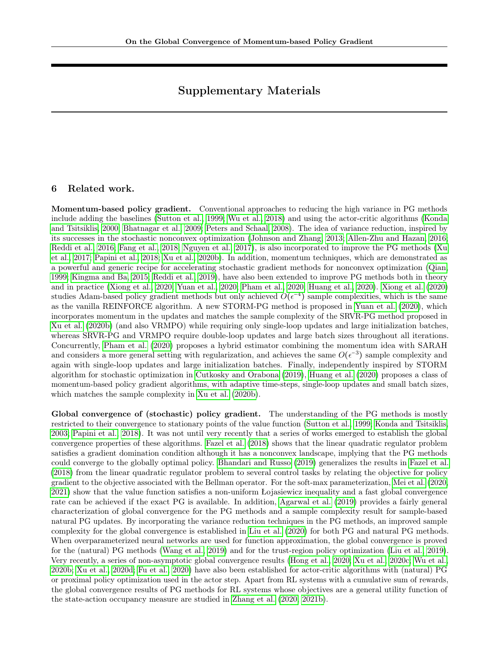# Supplementary Materials

# <span id="page-11-0"></span>6 Related work.

Momentum-based policy gradient. Conventional approaches to reducing the high variance in PG methods include adding the baselines [\(Sutton et al., 1999;](#page-9-16) [Wu et al., 2018\)](#page-9-18) and using the actor-critic algorithms [\(Konda](#page-8-0) [and Tsitsiklis, 2000;](#page-8-0) [Bhatnagar et al., 2009;](#page-8-12) [Peters and Schaal, 2008\)](#page-9-19). The idea of variance reduction, inspired by its successes in the stochastic nonconvex optimization [\(Johnson and Zhang, 2013;](#page-8-13) [Allen-Zhu and Hazan, 2016;](#page-8-14) [Reddi et al., 2016;](#page-9-20) [Fang et al., 2018;](#page-8-15) [Nguyen et al., 2017\)](#page-8-16), is also incorporated to improve the PG methods [\(Xu](#page-9-21) [et al., 2017;](#page-9-21) [Papini et al., 2018;](#page-8-6) [Xu et al., 2020b\)](#page-9-12). In addition, momentum techniques, which are demonstrated as a powerful and generic recipe for accelerating stochastic gradient methods for nonconvex optimization [\(Qian,](#page-9-7) [1999;](#page-9-7) [Kingma and Ba, 2015;](#page-8-4) [Reddi et al., 2019\)](#page-9-8), have also been extended to improve PG methods both in theory and in practice [\(Xiong et al., 2020;](#page-9-9) [Yuan et al., 2020;](#page-9-10) [Pham et al., 2020;](#page-9-11) [Huang et al., 2020\)](#page-8-5). [Xiong et al.](#page-9-9) [\(2020\)](#page-9-9) studies Adam-based policy gradient methods but only achieved  $O(\epsilon^{-4})$  sample complexities, which is the same as the vanilla REINFORCE algorithm. A new STORM-PG method is proposed in [Yuan et al.](#page-9-10) [\(2020\)](#page-9-10), which incorporates momentum in the updates and matches the sample complexity of the SRVR-PG method proposed in [Xu et al.](#page-9-12) [\(2020b\)](#page-9-12) (and also VRMPO) while requiring only single-loop updates and large initialization batches, whereas SRVR-PG and VRMPO require double-loop updates and large batch sizes throughout all iterations. Concurrently, [Pham et al.](#page-9-11) [\(2020\)](#page-9-11) proposes a hybrid estimator combining the momentum idea with SARAH and considers a more general setting with regularization, and achieves the same  $O(\epsilon^{-3})$  sample complexity and again with single-loop updates and large initialization batches. Finally, independently inspired by STORM algorithm for stochastic optimization in [Cutkosky and Orabona](#page-8-7) [\(2019\)](#page-8-7), [Huang et al.](#page-8-5) [\(2020\)](#page-8-5) proposes a class of momentum-based policy gradient algorithms, with adaptive time-steps, single-loop updates and small batch sizes, which matches the sample complexity in [Xu et al.](#page-9-12) [\(2020b\)](#page-9-12).

Global convergence of (stochastic) policy gradient. The understanding of the PG methods is mostly restricted to their convergence to stationary points of the value function [\(Sutton et al., 1999;](#page-9-16) [Konda and Tsitsiklis,](#page-8-17) [2003;](#page-8-17) [Papini et al., 2018\)](#page-8-6). It was not until very recently that a series of works emerged to establish the global convergence properties of these algorithms. [Fazel et al.](#page-8-18) [\(2018\)](#page-8-18) shows that the linear quadratic regulator problem satisfies a gradient domination condition although it has a nonconvex landscape, implying that the PG methods could converge to the globally optimal policy. [Bhandari and Russo](#page-8-19) [\(2019\)](#page-8-19) generalizes the results in [Fazel et al.](#page-8-18) [\(2018\)](#page-8-18) from the linear quadratic regulator problem to several control tasks by relating the objective for policy gradient to the objective associated with the Bellman operator. For the soft-max parameterization, [Mei et al.](#page-8-20) [\(2020,](#page-8-20) [2021\)](#page-8-21) show that the value function satisfies a non-uniform Łojasiewicz inequality and a fast global convergence rate can be achieved if the exact PG is available. In addition, [Agarwal et al.](#page-8-8) [\(2019\)](#page-8-8) provides a fairly general characterization of global convergence for the PG methods and a sample complexity result for sample-based natural PG updates. By incorporating the variance reduction techniques in the PG methods, an improved sample complexity for the global convergence is established in [Liu et al.](#page-8-9) [\(2020\)](#page-8-9) for both PG and natural PG methods. When overparameterized neural networks are used for function approximation, the global convergence is proved for the (natural) PG methods [\(Wang et al., 2019\)](#page-9-14) and for the trust-region policy optimization [\(Liu et al., 2019\)](#page-8-22). Very recently, a series of non-asymptotic global convergence results [\(Hong et al., 2020;](#page-8-23) [Xu et al., 2020c;](#page-9-22) [Wu et al.,](#page-9-23) [2020b;](#page-9-23) [Xu et al., 2020d;](#page-9-24) [Fu et al., 2020\)](#page-8-24) have also been established for actor-critic algorithms with (natural) PG or proximal policy optimization used in the actor step. Apart from RL systems with a cumulative sum of rewards, the global convergence results of PG methods for RL systems whose objectives are a general utility function of the state-action occupancy measure are studied in [Zhang et al.](#page-10-5) [\(2020,](#page-10-5) [2021b\)](#page-10-2).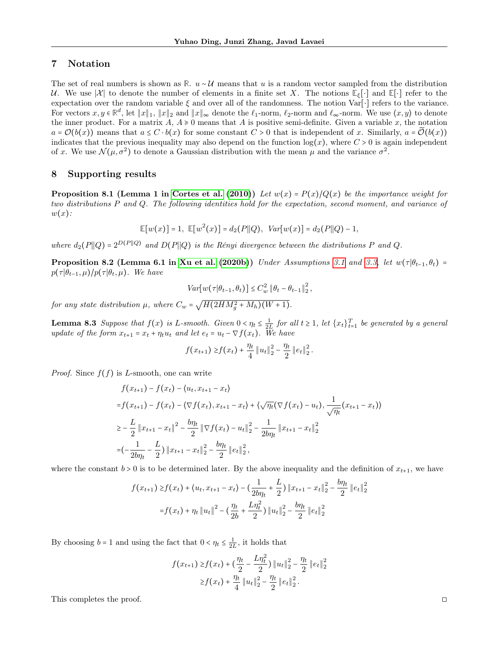# <span id="page-12-0"></span>7 Notation

The set of real numbers is shown as **R**. u ∼ U means that u is a random vector sampled from the distribution U. We use  $|\mathcal{X}|$  to denote the number of elements in a finite set X. The notions  $\mathbb{E}_{\xi}[\cdot]$  and  $\mathbb{E}[\cdot]$  refer to the expectation over the random variable  $\xi$  and over all of the randomness. The notion Var[⋅] refers to the variance. For vectors  $x, y \in \mathbb{R}^d$ , let  $||x||_1$ ,  $||x||_2$  and  $||x||_{\infty}$  denote the  $\ell_1$ -norm,  $\ell_2$ -norm and  $\ell_{\infty}$ -norm. We use  $\langle x, y \rangle$  to denote the inner product. For a matrix  $A, A \ge 0$  means that A is positive semi-definite. Given a variable x, the notation  $a = \mathcal{O}(b(x))$  means that  $a \leq C \cdot b(x)$  for some constant  $C > 0$  that is independent of x. Similarly,  $a = \mathcal{O}(b(x))$ indicates that the previous inequality may also depend on the function  $log(x)$ , where  $C > 0$  is again independent of x. We use  $\mathcal{N}(\mu, \sigma^2)$  to denote a Gaussian distribution with the mean  $\mu$  and the variance  $\sigma^2$ .

## 8 Supporting results

<span id="page-12-1"></span>**Proposition 8.1 (Lemma 1 in [Cortes et al.](#page-8-25) [\(2010\)](#page-8-25))** Let  $w(x) = P(x)/Q(x)$  be the importance weight for two distributions P and Q. The following identities hold for the expectation, second moment, and variance of  $w(x)$ :

$$
\mathbb{E}[w(x)] = 1, \ \mathbb{E}[w^2(x)] = d_2(P||Q), \ Var[w(x)] = d_2(P||Q) - 1,
$$

where  $d_2(P||Q) = 2^{D(P||Q)}$  and  $D(P||Q)$  is the Rényi divergence between the distributions P and Q.

<span id="page-12-2"></span>**Proposition 8.2 (Lemma 6.1 in [Xu et al.](#page-9-12) [\(2020b\)](#page-9-12))** Under Assumptions [3.1](#page-3-0) and [3.3,](#page-3-2) let  $w(\tau | \theta_{t-1}, \theta_t)$  =  $p(\tau | \theta_{t-1}, \mu) / p(\tau | \theta_t, \mu)$ . We have

$$
Var[w(\tau|\theta_{t-1}, \theta_t)] \leq C_w^2 \|\theta_t - \theta_{t-1}\|_2^2,
$$

for any state distribution  $\mu$ , where  $C_w = \sqrt{H(2HM_g^2 + M_h)(W+1)}$ .

<span id="page-12-3"></span>**Lemma 8.3** Suppose that  $f(x)$  is L-smooth. Given  $0 \le \eta_t \le \frac{1}{2L}$  for all  $t \ge 1$ , let  $\{x_t\}_{t=1}^T$  be generated by a general update of the form  $x_{t+1} = x_t + \eta_t u_t$  and let  $e_t = u_t - \nabla f(x_t)$ . We have

$$
f(x_{t+1}) \geq f(x_t) + \frac{\eta_t}{4} ||u_t||_2^2 - \frac{\eta_t}{2} ||e_t||_2^2.
$$

*Proof.* Since  $f(f)$  is L-smooth, one can write

$$
f(x_{t+1}) - f(x_t) - \langle u_t, x_{t+1} - x_t \rangle
$$
  
=  $f(x_{t+1}) - f(x_t) - \langle \nabla f(x_t), x_{t+1} - x_t \rangle + \langle \sqrt{\eta_t} (\nabla f(x_t) - u_t), \frac{1}{\sqrt{\eta_t}} (x_{t+1} - x_t) \rangle$   
 $\geq -\frac{L}{2} ||x_{t+1} - x_t||^2 - \frac{b\eta_t}{2} ||\nabla f(x_t) - u_t||^2 - \frac{1}{2b\eta_t} ||x_{t+1} - x_t||^2$   
=  $\left(-\frac{1}{2b\eta_t} - \frac{L}{2}\right) ||x_{t+1} - x_t||^2 - \frac{b\eta_t}{2} ||e_t||^2_2$ ,

where the constant  $b > 0$  is to be determined later. By the above inequality and the definition of  $x_{t+1}$ , we have

$$
f(x_{t+1}) \ge f(x_t) + \langle u_t, x_{t+1} - x_t \rangle - \left( \frac{1}{2b\eta_t} + \frac{L}{2} \right) \| x_{t+1} - x_t \|_2^2 - \frac{b\eta_t}{2} \| e_t \|_2^2
$$

$$
= f(x_t) + \eta_t \| u_t \|^2 - \left( \frac{\eta_t}{2b} + \frac{L\eta_t^2}{2} \right) \| u_t \|_2^2 - \frac{b\eta_t}{2} \| e_t \|_2^2
$$

By choosing  $b = 1$  and using the fact that  $0 < \eta_t \leq \frac{1}{2L}$ , it holds that

$$
f(x_{t+1}) \ge f(x_t) + \left(\frac{\eta_t}{2} - \frac{L\eta_t^2}{2}\right) \|u_t\|_2^2 - \frac{\eta_t}{2} \|e_t\|_2^2
$$
  

$$
\ge f(x_t) + \frac{\eta_t}{4} \|u_t\|_2^2 - \frac{\eta_t}{2} \|e_t\|_2^2.
$$

This completes the proof. □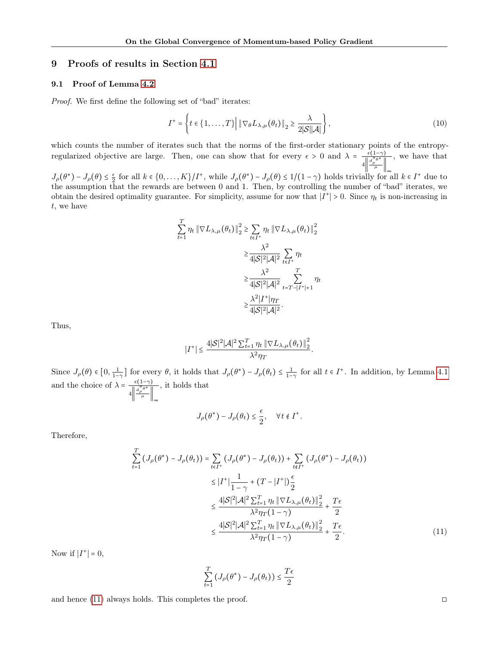# 9 Proofs of results in Section [4.1](#page-4-1)

## <span id="page-13-0"></span>9.1 Proof of Lemma [4.2](#page-5-0)

Proof. We first define the following set of "bad" iterates:

$$
I^{+} = \left\{ t \in \{1, \ldots, T\} \middle| \left\| \nabla_{\theta} L_{\lambda, \mu}(\theta_t) \right\|_2 \ge \frac{\lambda}{2|\mathcal{S}||\mathcal{A}|} \right\},\tag{10}
$$

which counts the number of iterates such that the norms of the first-order stationary points of the entropyregularized objective are large. Then, one can show that for every  $\epsilon > 0$  and  $\lambda = \frac{\epsilon(1-\gamma)}{\|\cdot\|^{1/2}e^*\|}$  $4\left\Vert \frac{d_{\rho}^{\pi}\theta^*}{\mu}\right\Vert_{\infty}$ , we have that

 $J_{\rho}(\theta^*) - J_{\rho}(\theta) \leq \frac{\epsilon}{2}$  for all  $k \in \{0, ..., K\}/I^+$ , while  $J_{\rho}(\theta^*) - J_{\rho}(\theta) \leq 1/(1-\gamma)$  holds trivially for all  $k \in I^+$  due to the assumption that the rewards are between 0 and 1. Then, by controlling the number of "bad" iterates, we obtain the desired optimality guarantee. For simplicity, assume for now that  $|I^+| > 0$ . Since  $\eta_t$  is non-increasing in t, we have

$$
\sum_{t=1}^{T} \eta_t \|\nabla L_{\lambda,\mu}(\theta_t)\|_2^2 \ge \sum_{t \in I^+} \eta_t \|\nabla L_{\lambda,\mu}(\theta_t)\|_2^2
$$

$$
\ge \frac{\lambda^2}{4|\mathcal{S}|^2|\mathcal{A}|^2} \sum_{t \in I^+} \eta_t
$$

$$
\ge \frac{\lambda^2}{4|\mathcal{S}|^2|\mathcal{A}|^2} \sum_{t = T - |I^+|+1}^{T} \eta_t
$$

$$
\ge \frac{\lambda^2 |I^+|\eta_T}{4|\mathcal{S}|^2|\mathcal{A}|^2}.
$$

Thus,

$$
|I^+| \leq \frac{4|\mathcal{S}|^2|\mathcal{A}|^2 \sum_{t=1}^T \eta_t \left\| \nabla L_{\lambda,\mu}(\theta_t) \right\|_2^2}{\lambda^2 \eta_T}.
$$

Since  $J_{\rho}(\theta) \in [0, \frac{1}{1-\gamma}]$  for every  $\theta$ , it holds that  $J_{\rho}(\theta^*) - J_{\rho}(\theta_t) \leq \frac{1}{1-\gamma}$  for all  $t \in I^+$ . In addition, by Lemma [4.1](#page-5-2) and the choice of  $\lambda = \frac{\epsilon(1-\gamma)}{\|\mathbf{d}^\pi \mathbf{e}^*\|}$  $4\left\Vert \frac{d_{\rho}^{\pi}\theta^*}{\mu}\right\Vert_{\infty}$ , it holds that

$$
J_{\rho}(\theta^*) - J_{\rho}(\theta_t) \leq \frac{\epsilon}{2}, \quad \forall t \notin I^+.
$$

Therefore,

$$
\sum_{t=1}^{T} \left( J_{\rho}(\theta^{*}) - J_{\rho}(\theta_{t}) \right) = \sum_{t \in I^{+}} \left( J_{\rho}(\theta^{*}) - J_{\rho}(\theta_{t}) \right) + \sum_{t \notin I^{+}} \left( J_{\rho}(\theta^{*}) - J_{\rho}(\theta_{t}) \right)
$$
\n
$$
\leq |I^{+}| \frac{1}{1 - \gamma} + (T - |I^{+}|) \frac{\epsilon}{2}
$$
\n
$$
\leq \frac{4|\mathcal{S}|^{2}|\mathcal{A}|^{2} \sum_{t=1}^{T} \eta_{t} \|\nabla L_{\lambda,\mu}(\theta_{t})\|_{2}^{2}}{\lambda^{2} \eta_{T} (1 - \gamma)} + \frac{T\epsilon}{2}
$$
\n
$$
\leq \frac{4|\mathcal{S}|^{2}|\mathcal{A}|^{2} \sum_{t=1}^{T} \eta_{t} \|\nabla L_{\lambda,\mu}(\theta_{t})\|_{2}^{2}}{\lambda^{2} \eta_{T} (1 - \gamma)} + \frac{T\epsilon}{2}.
$$
\n(11)

Now if  $|I^+| = 0$ ,

$$
\sum_{t=1}^T \left( J_\rho(\theta^*) - J_\rho(\theta_t) \right) \leq \frac{T\epsilon}{2}
$$

and hence  $(11)$  always holds. This completes the proof.  $\Box$ 

<span id="page-13-1"></span>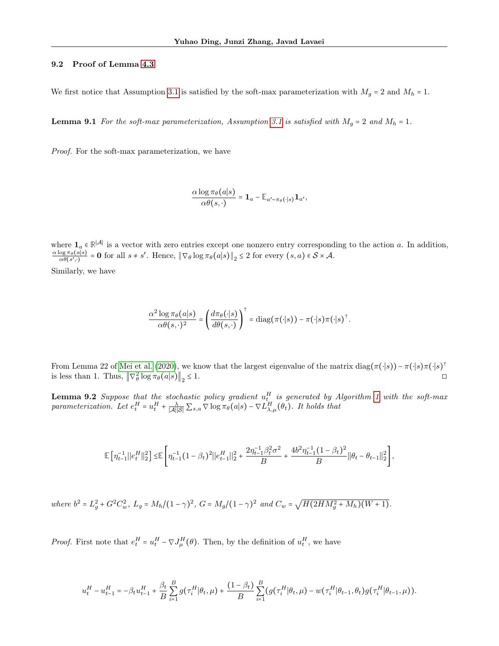#### <span id="page-14-1"></span>9.2 Proof of Lemma [4.3](#page-5-1)

We first notice that Assumption [3.1](#page-3-0) is satisfied by the soft-max parameterization with  $M_g = 2$  and  $M_h = 1$ .

**Lemma 9.1** For the soft-max parameterization, Assumption [3.1](#page-3-0) is satisfied with  $M_g = 2$  and  $M_h = 1$ .

Proof. For the soft-max parameterization, we have

<span id="page-14-0"></span>
$$
\frac{\alpha \log \pi_{\theta}(a|s)}{\alpha \theta(s,\cdot)} = \mathbf{1}_a - \mathbb{E}_{a' \sim \pi_{\theta}(\cdot|s)} \mathbf{1}_{a'},
$$

where  $\mathbf{1}_a \in \mathbb{R}^{|\mathcal{A}|}$  is a vector with zero entries except one nonzero entry corresponding to the action a. In addition,  $\alpha \log \pi_{\theta}(a|s)$  $\frac{\log \pi_{\theta}(a|s)}{\alpha \theta(s',\cdot)} = \mathbf{0}$  for all  $s \neq s'$ . Hence,  $\|\nabla_{\theta}\log \pi_{\theta}(a|s)\|_{2} \leq 2$  for every  $(s, a) \in S \times \mathcal{A}$ .

Similarly, we have

$$
\frac{\alpha^2 \log \pi_\theta(a|s)}{\alpha \theta(s,\cdot)^2} = \left(\frac{d \pi_\theta(\cdot|s)}{d \theta(s,\cdot)}\right)^\top = \text{diag}(\pi(\cdot|s)) - \pi(\cdot|s)\pi(\cdot|s)^\top.
$$

From Lemma 22 of [Mei et al.](#page-8-20) [\(2020\)](#page-8-20), we know that the largest eigenvalue of the matrix  $\text{diag}(\pi(\cdot|s)) - \pi(\cdot|s)\pi(\cdot|s)^\intercal$ is less than 1. Thus,  $\left\|\nabla_{\theta}^{2}\log\pi_{\theta}(a|s)\right\|_{2}$  $\leq 1$ .

<span id="page-14-2"></span>**Lemma 9.2** Suppose that the stochastic policy gradient  $u_t^H$  is generated by Algorithm [1](#page-4-0) with the soft-max parameterization. Let  $e_t^H = u_t^H + \frac{\lambda}{|A||S|} \sum_{s,a} \nabla \log \pi_\theta(a|s) - \nabla L_{\lambda,\mu}^H(\theta_t)$ . It holds that

$$
\mathbb{E}\left[\left.\eta_{t-1}^{-1}\|e_t^H\|_2^2\right] \leq \mathbb{E}\left[\left.\eta_{t-1}^{-1}(1-\beta_t)^2\|e_{t-1}^H\|_2^2 + \frac{2\eta_{t-1}^{-1}\beta_t^2\sigma^2}{B} + \frac{4b^2\eta_{t-1}^{-1}(1-\beta_t)^2}{B}\|{\boldsymbol \theta}_t - {\boldsymbol \theta}_{t-1}\|_2^2\right],
$$

where  $b^2 = L_g^2 + G^2 C_w^2$ ,  $L_g = M_h/(1 - \gamma)^2$ ,  $G = M_g/(1 - \gamma)^2$  and  $C_w = \sqrt{H(2H M_g^2 + M_h)(W + 1)}$ .

*Proof.* First note that  $e_t^H = u_t^H - \nabla J_\mu^H(\theta)$ . Then, by the definition of  $u_t^H$ , we have

$$
u_t^H - u_{t-1}^H = -\beta_t u_{t-1}^H + \frac{\beta_t}{B} \sum_{i=1}^B g(\tau_i^H | \theta_t, \mu) + \frac{(1-\beta_t)}{B} \sum_{i=1}^B (g(\tau_i^H | \theta_t, \mu) - w(\tau_i^H | \theta_{t-1}, \theta_t) g(\tau_i^H | \theta_{t-1}, \mu)).
$$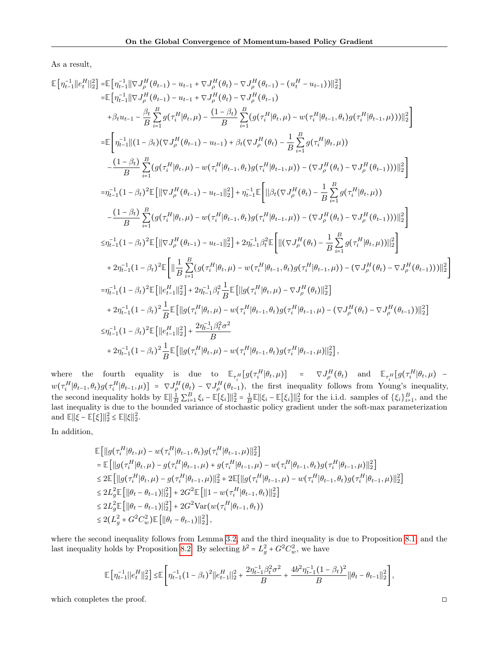As a result,

$$
\begin{split} \mathbb{E}\left[\eta_{t-1}^{-1}\|e_{t}^{H}\|_{2}^{2}\right] & = \mathbb{E}\left[\eta_{t-1}^{-1}\|\nabla J_{\rho}^{H}(\theta_{t-1})-u_{t-1}+\nabla J_{\rho}^{H}(\theta_{t})-\nabla J_{\rho}^{H}(\theta_{t-1})-(u_{t}^{H}-u_{t-1})\|_{2}^{2}\right] \\ & = \mathbb{E}\left[\eta_{t-1}^{-1}\|\|\nabla J_{\rho}^{H}(\theta_{t-1})-u_{t-1}+\nabla J_{\rho}^{H}(\theta_{t})-\nabla J_{\rho}^{H}(\theta_{t-1})\\ & +\beta_{t}u_{t-1}-\frac{\beta_{t}}{B}\sum_{i=1}^{B}g(\tau_{i}^{H}|\theta_{t},\mu)-\frac{(1-\beta_{t})}{B}\sum_{i=1}^{B}(g(\tau_{i}^{H}|\theta_{t},\mu)-w(\tau_{i}^{H}|\theta_{t-1},\theta_{t})g(\tau_{i}^{H}|\theta_{t-1},\mu)))\|_{2}^{2}\right] \\ =& \mathbb{E}\left[\eta_{t-1}^{-1}\|(1-\beta_{t})(\nabla J_{\rho}^{H}(\theta_{t-1})-u_{t-1})+\beta_{t}(\nabla J_{\rho}^{H}(\theta_{t})-\frac{1}{B}\sum_{i=1}^{B}g(\tau_{i}^{H}|\theta_{t},\mu))\\ &-\frac{(1-\beta_{t})}{B}\sum_{i=1}^{B}(g(\tau_{i}^{H}|\theta_{t},\mu)-w(\tau_{i}^{H}|\theta_{t-1},\theta_{t})g(\tau_{i}^{H}|\theta_{t-1},\mu))-(\nabla J_{\rho}^{H}(\theta_{t})-\nabla J_{\rho}^{H}(\theta_{t-1}))\|_{2}^{2}\right] \\ =& \eta_{t-1}^{-1}(1-\beta_{t})^{2}\mathbb{E}\left[\|\nabla J_{\rho}^{H}(\theta_{t-1})-u_{t-1}\|_{2}^{2}\right]+\eta_{t-1}^{-1}\mathbb{E}\left[\|\beta_{t}(\nabla J_{\rho}^{H}(\theta_{t})-\frac{1}{B}\sum_{i=1}^{B}g(\tau_{i}^{H}|\theta_{t},\mu))\\ &-\frac{(1-\beta_{t})}{B}\sum_{i=1}^{B}(g(\tau_{
$$

where the fourth equality is due to  $\mathbb{E}_{\tau_i^H}[g(\tau_i^H | \theta_t, \mu)] = \nabla J_{\rho}^H(\theta_t)$  and  $\mathbb{E}_{\tau_i^H}[g(\tau_i^H | \theta_t, \mu)$   $w(\tau_i^H|\theta_{t-1},\theta_t)g(\tau_i^H|\theta_{t-1},\mu) = \nabla J_{\rho}^H(\theta_t) - \nabla J_{\rho}^H(\theta_{t-1}),$  the first inequality follows from Young's inequality, the second inequality holds by  $\mathbb{E} \left\| \frac{1}{B} \sum_{i=1}^{B} \xi_i - \mathbb{E}[\xi_i] \right\|_2^2 = \frac{1}{B} \mathbb{E} \left\| \xi_i - \mathbb{E}[\xi_i] \right\|_2^2$  for the i.i.d. samples of  $\{\xi_i\}_{i=1}^B$ , and the last inequality is due to the bounded variance of stochastic policy gradient under the soft-max parameterization and  $\mathbb{E}||\xi - \mathbb{E}[\xi]||_2^2 \le \mathbb{E}||\xi||_2^2$ .

In addition,

$$
\mathbb{E}\left[\left\|g\left(\tau_{i}^{H}|\theta_{t},\mu\right)-w\left(\tau_{i}^{H}|\theta_{t-1},\theta_{t}\right)g\left(\tau_{i}^{H}|\theta_{t-1},\mu\right)\right\|_{2}^{2}\right] \n= \mathbb{E}\left[\left\|g\left(\tau_{i}^{H}|\theta_{t},\mu\right)-g\left(\tau_{i}^{H}|\theta_{t-1},\mu\right)+g\left(\tau_{i}^{H}|\theta_{t-1},\mu\right)-w\left(\tau_{i}^{H}|\theta_{t-1},\theta_{t}\right)g\left(\tau_{i}^{H}|\theta_{t-1},\mu\right)\right\|_{2}^{2}\right] \n\leq 2\mathbb{E}\left[\left\|g\left(\tau_{i}^{H}|\theta_{t},\mu\right)-g\left(\tau_{i}^{H}|\theta_{t-1},\mu\right)\right\|_{2}^{2}+2\mathbb{E}[\left\|g\left(\tau_{i}^{H}|\theta_{t-1},\mu\right)-w\left(\tau_{i}^{H}|\theta_{t-1},\theta_{t}\right)g\left(\tau_{i}^{H}|\theta_{t-1},\mu\right)\right\|_{2}^{2}\right] \n\leq 2L_{g}^{2}\mathbb{E}\left[\left\|\theta_{t}-\theta_{t-1}\right)\right\|_{2}^{2}\right]+2G^{2}\mathbb{E}\left[\left\|1-w\left(\tau_{i}^{H}|\theta_{t-1},\theta_{t}\right)\right\|_{2}^{2}\right] \n\leq 2L_{g}^{2}\mathbb{E}\left[\left\|\theta_{t}-\theta_{t-1}\right)\right\|_{2}^{2}\right]+2G^{2}\text{Var}\left(w\left(\tau_{i}^{H}|\theta_{t-1},\theta_{t}\right)\right) \n\leq 2(L_{g}^{2}+G^{2}C_{w}^{2})\mathbb{E}\left[\left\|\theta_{t}-\theta_{t-1}\right)\right\|_{2}^{2}\right],
$$

where the second inequality follows from Lemma [3.2,](#page-3-4) and the third inequality is due to Proposition [8.1,](#page-12-1) and the last inequality holds by Proposition [8.2.](#page-12-2) By selecting  $b^2 = L_g^2 + G^2 C_w^2$ , we have

$$
\mathbb{E}\Big[\eta_{t-1}^{-1}\big\|e_t^H\big\|_2^2\Big]\leq\mathbb{E}\Bigg[\eta_{t-1}^{-1}\big(1-\beta_t\big)^2\big\|e_{t-1}^H\big\|_2^2+\frac{2\eta_{t-1}^{-1}\beta_t^2\sigma^2}{B}+\frac{4b^2\eta_{t-1}^{-1}\big(1-\beta_t\big)^2}{B}\big\|\theta_t-\theta_{t-1}\big\|_2^2\Bigg],
$$

which completes the proof. □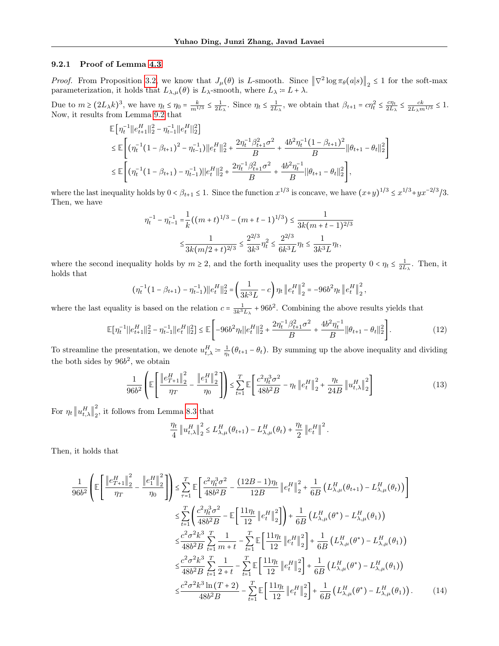#### 9.2.1 Proof of Lemma [4.3](#page-5-1)

*Proof.* From Proposition [3.2,](#page-3-4) we know that  $J_{\mu}(\theta)$  is L-smooth. Since  $\|\nabla^2 \log \pi_{\theta}(a|s)\|_2 \leq 1$  for the soft-max parameterization, it holds that  $L_{\lambda,\mu}(\theta)$  is  $L_{\lambda}$ -smooth, where  $L_{\lambda} = L + \lambda$ .

Due to  $m \ge (2L_\lambda k)^3$ , we have  $\eta_t \le \eta_0 = \frac{k}{m^{1/3}} \le \frac{1}{2L_\lambda}$ . Since  $\eta_t \le \frac{1}{2L_\lambda}$ , we obtain that  $\beta_{t+1} = c\eta_t^2 \le \frac{c\eta_t}{2L_\lambda}$  $\frac{c\eta_t}{2L_\lambda} \leq \frac{ck}{2L_\lambda m^{1/3}} \leq 1.$ Now, it results from Lemma [9.2](#page-14-2) that

$$
\mathbb{E}\left[\eta_t^{-1}||e_{t+1}^H||_2^2 - \eta_{t-1}^{-1}||e_t^H||_2^2\right] \n\leq \mathbb{E}\left[\left(\eta_t^{-1}(1-\beta_{t+1})^2 - \eta_{t-1}^{-1}\right)||e_t^H||_2^2 + \frac{2\eta_t^{-1}\beta_{t+1}^2\sigma^2}{B} + \frac{4b^2\eta_t^{-1}(1-\beta_{t+1})^2}{B}||\theta_{t+1} - \theta_t||_2^2\right] \n\leq \mathbb{E}\left[\left(\eta_t^{-1}(1-\beta_{t+1}) - \eta_{t-1}^{-1}\right)||e_t^H||_2^2 + \frac{2\eta_t^{-1}\beta_{t+1}^2\sigma^2}{B} + \frac{4b^2\eta_t^{-1}}{B}||\theta_{t+1} - \theta_t||_2^2\right],
$$

where the last inequality holds by  $0 < \beta_{t+1} \leq 1$ . Since the function  $x^{1/3}$  is concave, we have  $(x+y)^{1/3} \leq x^{1/3} + y^{1/3} \leq x^{1/3} + y^{1/3} \leq x^{1/3} + y^{1/3} \leq x^{1/3} + y^{1/3} \leq x^{1/3} + y^{1/3} \leq x^{1/3} + y^{1/3} \leq x^{1/3} + y^{1/3$ Then, we have

$$
\eta_t^{-1} - \eta_{t-1}^{-1} = \frac{1}{k} \left( (m+t)^{1/3} - (m+t-1)^{1/3} \right) \le \frac{1}{3k(m+t-1)^{2/3}}
$$

$$
\le \frac{1}{3k(m/2+t)^{2/3}} \le \frac{2^{2/3}}{3k^3} \eta_t^2 \le \frac{2^{2/3}}{6k^3L} \eta_t \le \frac{1}{3k^3L} \eta_t,
$$

where the second inequality holds by  $m \geq 2$ , and the forth inequality uses the property  $0 < \eta_t \leq \frac{1}{2L_\lambda}$ . Then, it holds that

$$
(\eta_t^{-1}(1-\beta_{t+1})-\eta_{t-1}^{-1})||e_t^H||_2^2 = \left(\frac{1}{3k^3L}-c\right)\eta_t ||e_t^H||_2^2 = -96b^2\eta_t ||e_t^H||_2^2
$$

where the last equality is based on the relation  $c = \frac{1}{3k^3 L_{\lambda}} + 96b^2$ . Combining the above results yields that

$$
\mathbb{E}[\eta_t^{-1}||e_{t+1}^H||_2^2 - \eta_{t-1}^{-1}||e_t^H||_2^2] \le \mathbb{E}\left[-96b^2\eta_t||e_t^H||_2^2 + \frac{2\eta_t^{-1}\beta_{t+1}^2\sigma^2}{B} + \frac{4b^2\eta_t^{-1}}{B}||\theta_{t+1} - \theta_t||_2^2\right].
$$
\n(12)

<span id="page-16-0"></span>,

To streamline the presentation, we denote  $u_{t,\lambda}^H \coloneqq \frac{1}{\eta_t}(\theta_{t+1} - \theta_t)$ . By summing up the above inequality and dividing the both sides by  $96b^2$ , we obtain

$$
\frac{1}{96b^2} \left( \mathbb{E} \left[ \frac{\left\| e_{T+1}^H \right\|_2^2}{\eta_T} - \frac{\left\| e_1^H \right\|_2^2}{\eta_0} \right] \right) \le \sum_{t=1}^T \mathbb{E} \left[ \frac{c^2 \eta_t^3 \sigma^2}{48b^2 B} - \eta_t \left\| e_t^H \right\|_2^2 + \frac{\eta_t}{24B} \left\| u_{t,\lambda}^H \right\|_2^2 \right] \tag{13}
$$

For  $\eta_t \left\| u_{t,\lambda}^H \right\|_2^2$  $\frac{2}{2}$ , it follows from Lemma [8.3](#page-12-3) that

$$
\frac{\eta_t}{4} \left\| u_{t,\lambda}^H \right\|_2^2 \leq L_{\lambda,\mu}^H(\theta_{t+1}) - L_{\lambda,\mu}^H(\theta_t) + \frac{\eta_t}{2} \left\| e_t^H \right\|^2.
$$

Then, it holds that

$$
\frac{1}{96b^{2}} \left( \mathbb{E} \left[ \frac{\left\| e_{T+1}^{H} \right\|_{2}^{2}}{\eta_{T}} - \frac{\left\| e_{1}^{H} \right\|_{2}^{2}}{\eta_{0}} \right] \right) \leq \sum_{\tau=1}^{T} \mathbb{E} \left[ \frac{c^{2} \eta_{t}^{3} \sigma^{2}}{48b^{2} B} - \frac{(12B - 1)\eta_{t}}{12B} \left\| e_{t}^{H} \right\|_{2}^{2} + \frac{1}{6B} \left( L_{\lambda,\mu}^{H}(\theta_{t+1}) - L_{\lambda,\mu}^{H}(\theta_{t}) \right) \right] \n\leq \sum_{t=1}^{T} \left( \frac{c^{2} \eta_{t}^{3} \sigma^{2}}{48b^{2} B} - \mathbb{E} \left[ \frac{11 \eta_{t}}{12} \left\| e_{t}^{H} \right\|_{2}^{2} \right] \right) + \frac{1}{6B} \left( L_{\lambda,\mu}^{H}(\theta^{*}) - L_{\lambda,\mu}^{H}(\theta_{1}) \right) \n\leq \frac{c^{2} \sigma^{2} k^{3}}{48b^{2} B} \sum_{t=1}^{T} \frac{1}{m+t} - \sum_{t=1}^{T} \mathbb{E} \left[ \frac{11 \eta_{t}}{12} \left\| e_{t}^{H} \right\|_{2}^{2} \right] + \frac{1}{6B} \left( L_{\lambda,\mu}^{H}(\theta^{*}) - L_{\lambda,\mu}^{H}(\theta_{1}) \right) \n\leq \frac{c^{2} \sigma^{2} k^{3}}{48b^{2} B} \sum_{t=1}^{T} \frac{1}{2+t} - \sum_{t=1}^{T} \mathbb{E} \left[ \frac{11 \eta_{t}}{12} \left\| e_{t}^{H} \right\|_{2}^{2} \right] + \frac{1}{6B} \left( L_{\lambda,\mu}^{H}(\theta^{*}) - L_{\lambda,\mu}^{H}(\theta_{1}) \right) \n\leq \frac{c^{2} \sigma^{2} k^{3} \ln(T+2)}{48b^{2} B} - \sum_{t=1}^{T} \mathbb{E} \left[ \frac{11 \eta_{t}}{12} \left
$$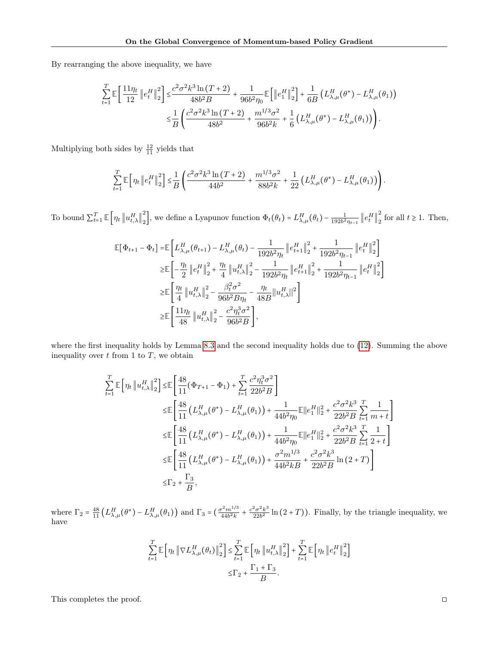By rearranging the above inequality, we have

$$
\sum_{t=1}^{T} \mathbb{E} \left[ \frac{11 \eta_t}{12} \left\| e_t^H \right\|_2^2 \right] \leq \frac{c^2 \sigma^2 k^3 \ln(T+2)}{48b^2 B} + \frac{1}{96b^2 \eta_0} \mathbb{E} \left[ \left\| e_1^H \right\|_2^2 \right] + \frac{1}{6B} \left( L_{\lambda,\mu}^H(\theta^*) - L_{\lambda,\mu}^H(\theta_1) \right) \n\leq \frac{1}{B} \left( \frac{c^2 \sigma^2 k^3 \ln(T+2)}{48b^2} + \frac{m^{1/3} \sigma^2}{96b^2 k} + \frac{1}{6} \left( L_{\lambda,\mu}^H(\theta^*) - L_{\lambda,\mu}^H(\theta_1) \right) \right).
$$

Multiplying both sides by  $\frac{12}{11}$  yields that

$$
\sum_{t=1}^T \mathbb{E}\left[\eta_t \left\| e_t^H \right\|_2^2 \right] \leq \frac{1}{B} \left( \frac{c^2 \sigma^2 k^3 \ln(T+2)}{44b^2} + \frac{m^{1/3} \sigma^2}{88b^2 k} + \frac{1}{22} \left( L_{\lambda,\mu}^H(\theta^*) - L_{\lambda,\mu}^H(\theta_1) \right) \right).
$$

To bound  $\sum_{t=1}^{T} \mathbb{E}\left[\eta_t \left\|u_{t,\lambda}^H\right\|_2^2\right]$ <sup>2</sup>/<sub>2</sub>, we define a Lyapunov function  $\Phi_t(\theta_t) = L_{\lambda,\mu}^H(\theta_t) - \frac{1}{192b^2\eta_{t-1}} \left\| e_t^H \right\|_2^2$  $\frac{2}{2}$  for all  $t \ge 1$ . Then,

$$
\begin{split} \mathbb{E}[\Phi_{t+1} - \Phi_t] = & \mathbb{E}\left[L_{\lambda,\mu}^H(\theta_{t+1}) - L_{\lambda,\mu}^H(\theta_t) - \frac{1}{192b^2\eta_t} \left\|e_{t+1}^H\right\|_2^2 + \frac{1}{192b^2\eta_{t-1}} \left\|e_t^H\right\|_2^2\right] \\ \geq & \mathbb{E}\left[-\frac{\eta_t}{2}\left\|e_t^H\right\|_2^2 + \frac{\eta_t}{4}\left\|u_{t,\lambda}^H\right\|_2^2 - \frac{1}{192b^2\eta_t}\left\|e_{t+1}^H\right\|_2^2 + \frac{1}{192b^2\eta_{t-1}} \left\|e_t^H\right\|_2^2\right] \\ \geq & \mathbb{E}\left[\frac{\eta_t}{4}\left\|u_{t,\lambda}^H\right\|_2^2 - \frac{\beta_t^2\sigma^2}{96b^2B\eta_t} - \frac{\eta_t}{48B}\left\|u_{t,\lambda}^H\right\|^2\right] \\ \geq & \mathbb{E}\left[\frac{11\eta_t}{48}\left\|u_{t,\lambda}^H\right\|_2^2 - \frac{c^2\eta_t^3\sigma^2}{96b^2B}\right], \end{split}
$$

where the first inequality holds by Lemma [8.3](#page-12-3) and the second inequality holds due to [\(12\)](#page-16-0). Summing the above inequality over  $t$  from 1 to  $T$ , we obtain

$$
\sum_{t=1}^{T} \mathbb{E} \left[ \eta_{t} \left\| u_{t,\lambda}^{H} \right\|_{2}^{2} \right] \leq \mathbb{E} \left[ \frac{48}{11} (\Phi_{T+1} - \Phi_{1}) + \sum_{t=1}^{T} \frac{c^{2} \eta_{t}^{3} \sigma^{2}}{22b^{2} B} \right]
$$
\n
$$
\leq \mathbb{E} \left[ \frac{48}{11} \left( L_{\lambda,\mu}^{H} (\theta^{*}) - L_{\lambda,\mu}^{H} (\theta_{1}) \right) + \frac{1}{44b^{2} \eta_{0}} \mathbb{E} || e_{1}^{H} ||_{2}^{2} + \frac{c^{2} \sigma^{2} k^{3}}{22b^{2} B} \sum_{t=1}^{T} \frac{1}{m+t} \right]
$$
\n
$$
\leq \mathbb{E} \left[ \frac{48}{11} \left( L_{\lambda,\mu}^{H} (\theta^{*}) - L_{\lambda,\mu}^{H} (\theta_{1}) \right) + \frac{1}{44b^{2} \eta_{0}} \mathbb{E} || e_{1}^{H} ||_{2}^{2} + \frac{c^{2} \sigma^{2} k^{3}}{22b^{2} B} \sum_{t=1}^{T} \frac{1}{2+t} \right]
$$
\n
$$
\leq \mathbb{E} \left[ \frac{48}{11} \left( L_{\lambda,\mu}^{H} (\theta^{*}) - L_{\lambda,\mu}^{H} (\theta_{1}) \right) + \frac{\sigma^{2} m^{1/3}}{44b^{2} k B} + \frac{c^{2} \sigma^{2} k^{3}}{22b^{2} B} \ln (2+T) \right]
$$
\n
$$
\leq \Gamma_{2} + \frac{\Gamma_{3}}{B},
$$

where  $\Gamma_2 = \frac{48}{11} \left( L_{\lambda,\mu}^H(\theta^*) - L_{\lambda,\mu}^H(\theta_1) \right)$  and  $\Gamma_3 = \left( \frac{\sigma^2 m^{1/3}}{44b^2k} + \frac{c^2 \sigma^2 k^3}{22b^2} \right)$  $\frac{2\sigma^2 k^3}{22b^2}$  ln  $(2+T)$ ). Finally, by the triangle inequality, we have

$$
\sum_{t=1}^{T} \mathbb{E} \left[ \eta_t \left\| \nabla L_{\lambda,\mu}^H(\theta_t) \right\|_2^2 \right] \leq \sum_{t=1}^{T} \mathbb{E} \left[ \eta_t \left\| u_{t,\lambda}^H \right\|_2^2 \right] + \sum_{t=1}^{T} \mathbb{E} \left[ \eta_t \left\| e_t^H \right\|_2^2 \right] \leq \Gamma_2 + \frac{\Gamma_1 + \Gamma_3}{B}.
$$

This completes the proof. □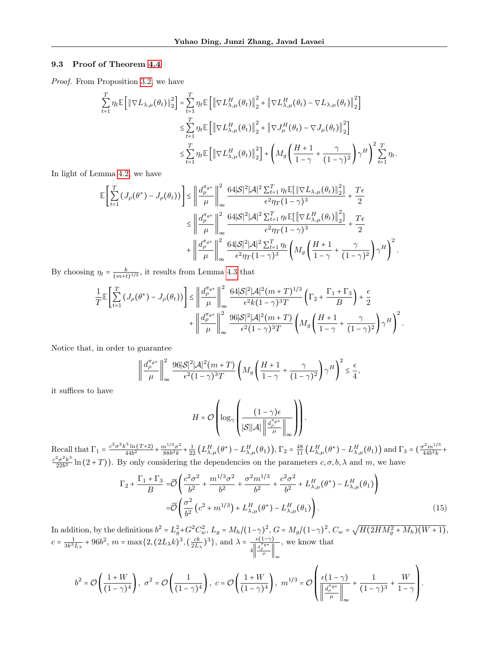#### <span id="page-18-0"></span>9.3 Proof of Theorem [4.4](#page-6-1)

Proof. From Proposition [3.2,](#page-3-4) we have

$$
\sum_{t=1}^{T} \eta_t \mathbb{E} \left[ \left\| \nabla L_{\lambda,\mu}(\theta_t) \right\|_2^2 \right] = \sum_{t=1}^{T} \eta_t \mathbb{E} \left[ \left\| \nabla L_{\lambda,\mu}^H(\theta_t) \right\|_2^2 + \left\| \nabla L_{\lambda,\mu}^H(\theta_t) - \nabla L_{\lambda,\mu}(\theta_t) \right\|_2^2 \right]
$$
\n
$$
\leq \sum_{t=1}^{T} \eta_t \mathbb{E} \left[ \left\| \nabla L_{\lambda,\mu}^H(\theta_t) \right\|_2^2 + \left\| \nabla J_{\mu}^H(\theta_t) - \nabla J_{\mu}(\theta_t) \right\|_2^2 \right]
$$
\n
$$
\leq \sum_{t=1}^{T} \eta_t \mathbb{E} \left[ \left\| \nabla L_{\lambda,\mu}^H(\theta_t) \right\|_2^2 \right] + \left( M_g \left( \frac{H+1}{1-\gamma} + \frac{\gamma}{(1-\gamma)^2} \right) \gamma^H \right)^2 \sum_{t=1}^{T} \eta_t.
$$

In light of Lemma [4.2,](#page-5-0) we have

$$
\mathbb{E}\left[\sum_{t=1}^{T}\left(J_{\rho}(\theta^{*})-J_{\rho}(\theta_{t})\right)\right] \leq \left\|\frac{d_{\rho}^{\pi_{\theta^{*}}}}{\mu}\right\|_{\infty}^{2} \frac{64|\mathcal{S}|^{2}|\mathcal{A}|^{2}\sum_{t=1}^{T}\eta_{t}\mathbb{E}[\|\nabla L_{\lambda,\mu}(\theta_{t})\|_{2}^{2}]}{\epsilon^{2}\eta_{T}(1-\gamma)^{3}} + \frac{T\epsilon}{2}
$$
\n
$$
\leq \left\|\frac{d_{\rho}^{\pi_{\theta^{*}}}}{\mu}\right\|_{\infty}^{2} \frac{64|\mathcal{S}|^{2}|\mathcal{A}|^{2}\sum_{t=1}^{T}\eta_{t}\mathbb{E}[\|\nabla L_{\lambda,\mu}^{H}(\theta_{t})\|_{2}^{2}]}{\epsilon^{2}\eta_{T}(1-\gamma)^{3}} + \frac{T\epsilon}{2}
$$
\n
$$
+ \left\|\frac{d_{\rho}^{\pi_{\theta^{*}}}}{\mu}\right\|_{\infty}^{2} \frac{64|\mathcal{S}|^{2}|\mathcal{A}|^{2}\sum_{t=1}^{T}\eta_{t}\left(M_{g}\left(\frac{H+1}{1-\gamma}+\frac{\gamma}{(1-\gamma)^{2}}\right)\gamma^{H}\right)^{2}.
$$

By choosing  $\eta_t = \frac{k}{(m+t)^{1/3}}$ , it results from Lemma [4.3](#page-5-1) that

$$
\frac{1}{T}\mathbb{E}\left[\sum_{t=1}^{T}\left(J_{\rho}(\theta^{*})-J_{\rho}(\theta_{t})\right)\right] \leq \left\|\frac{d_{\rho}^{\pi_{\theta^{*}}}}{\mu}\right\|_{\infty}^{2} \frac{64|\mathcal{S}|^{2}|\mathcal{A}|^{2}(m+T)^{1/3}}{\epsilon^{2}k(1-\gamma)^{3}T}\left(\Gamma_{2}+\frac{\Gamma_{1}+\Gamma_{3}}{B}\right)+\frac{\epsilon}{2} + \left\|\frac{d_{\rho}^{\pi_{\theta^{*}}}}{\mu}\right\|_{\infty}^{2} \frac{96|\mathcal{S}|^{2}|\mathcal{A}|^{2}(m+T)}{\epsilon^{2}(1-\gamma)^{3}T}\left(M_{g}\left(\frac{H+1}{1-\gamma}+\frac{\gamma}{(1-\gamma)^{2}}\right)\gamma^{H}\right)^{2}.
$$

Notice that, in order to guarantee

$$
\left\| \frac{d_{\rho}^{\pi_{\theta^*}}}{\mu} \right\|_{\infty}^2 \frac{96|\mathcal{S}|^2|\mathcal{A}|^2(m+T)}{\epsilon^2 (1-\gamma)^3 T} \left( M_g \left( \frac{H+1}{1-\gamma} + \frac{\gamma}{(1-\gamma)^2} \right) \gamma^H \right)^2 \le \frac{\epsilon}{4},
$$

it suffices to have

$$
H = \mathcal{O}\left(\log_{\gamma}\left(\frac{(1-\gamma)\epsilon}{|\mathcal{S}||\mathcal{A}| \left\|\frac{d_{\rho}^{\pi_{\theta^*}}}{\mu}\right\|_{\infty}}\right)\right).
$$

Recall that  $\Gamma_1 = \frac{c^2 \sigma^2 k^3 \ln(T+2)}{44b^2} + \frac{m^{1/3} \sigma^2}{88b^2 k}$  $\frac{n^{1/3}\sigma^2}{88b^2k}$  +  $\frac{1}{22}$   $\left( L_{\lambda,\mu}^H(\theta^*) - L_{\lambda,\mu}^H(\theta_1) \right)$ ,  $\Gamma_2 = \frac{48}{11} \left( L_{\lambda,\mu}^H(\theta^*) - L_{\lambda,\mu}^H(\theta_1) \right)$  and  $\Gamma_3 = \left( \frac{\sigma^2 m^{1/3}}{44b^2k} + \frac{\sigma^2}{44b^2k} \right)$  $c^2\sigma^2k^3$  $\frac{2\sigma^2 k^{\circ}}{22b^2}$  ln  $(2+T)$ ). By only considering the dependencies on the parameters  $c, \sigma, b, \lambda$  and m, we have

$$
\Gamma_2 + \frac{\Gamma_1 + \Gamma_3}{B} = \widetilde{\mathcal{O}} \left( \frac{c^2 \sigma^2}{b^2} + \frac{m^{1/3} \sigma^2}{b^2} + \frac{\sigma^2 m^{1/3}}{b^2} + \frac{c^2 \sigma^2}{b^2} + L_{\lambda,\mu}^H(\theta^*) - L_{\lambda,\mu}^H(\theta_1) \right)
$$
  

$$
= \widetilde{\mathcal{O}} \left( \frac{\sigma^2}{b^2} \left( c^2 + m^{1/3} \right) + L_{\lambda,\mu}^H(\theta^*) - L_{\lambda,\mu}^H(\theta_1) \right). \tag{15}
$$

<span id="page-18-1"></span>.

In addition, by the definitions  $b^2 = L_g^2 + G^2 C_w^2$ ,  $L_g = M_h/(1-\gamma)^2$ ,  $G = M_g/(1-\gamma)^2$ ,  $C_w = \sqrt{H(2HM_g^2 + M_h)(W+1)}$ ,  $c = \frac{1}{3k^3L_{\lambda}} + 96b^2$ ,  $m = \max\{2, (2L_{\lambda}k)^3, (\frac{ck}{2L_{\lambda}})^3\}$ , and  $\lambda = \frac{\epsilon(1-\gamma)}{\|\mathbf{d}_{\rho}^{\pi_{\rho}\mathbf{e}*\}}$  $4\left\Vert \frac{d_{\rho}^{\pi}\theta^*}{\mu}\right\Vert_{\infty}$ , we know that

$$
b^2 = \mathcal{O}\left(\frac{1+W}{(1-\gamma)^4}\right), \ \sigma^2 = \mathcal{O}\left(\frac{1}{(1-\gamma)^4}\right), \ c = \mathcal{O}\left(\frac{1+W}{(1-\gamma)^4}\right), \ m^{1/3} = \mathcal{O}\left(\frac{\epsilon(1-\gamma)}{\left\|\frac{d_{\rho}^{\pi_{\theta^*}}}{\mu}\right\|_{\infty}} + \frac{1}{(1-\gamma)^3} + \frac{W}{1-\gamma}\right)
$$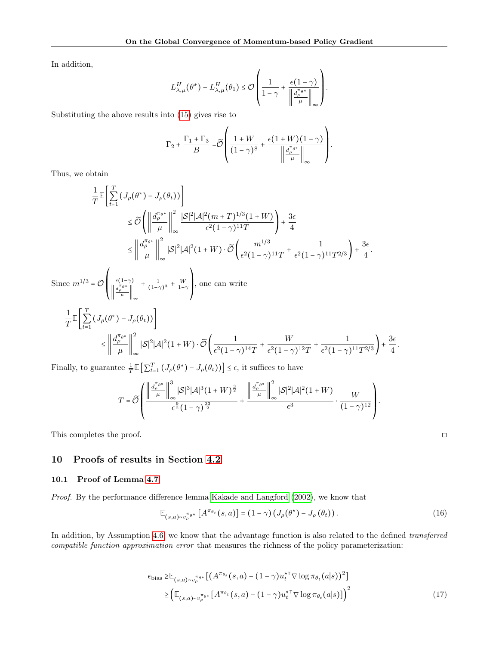In addition,

$$
L_{\lambda,\mu}^H(\theta^*) - L_{\lambda,\mu}^H(\theta_1) \leq \mathcal{O}\left(\frac{1}{1-\gamma} + \frac{\epsilon(1-\gamma)}{\left\|\frac{d_{\rho}^{\pi_{\theta^*}}}{\mu}\right\|_{\infty}}\right).
$$

Substituting the above results into [\(15\)](#page-18-1) gives rise to

$$
\Gamma_2 + \frac{\Gamma_1 + \Gamma_3}{B} = \widetilde{\mathcal{O}} \left( \frac{1 + W}{(1 - \gamma)^8} + \frac{\epsilon (1 + W)(1 - \gamma)}{\left\| \frac{d_{\rho}^{\pi_{\theta^*}}}{\mu} \right\|_{\infty}} \right)
$$

.

Thus, we obtain

$$
\frac{1}{T}\mathbb{E}\left[\sum_{t=1}^{T}\left(J_{\rho}(\theta^{*})-J_{\rho}(\theta_{t})\right)\right]
$$
\n
$$
\leq \widetilde{\mathcal{O}}\left(\left\|\frac{d_{\rho}^{\pi_{\theta^{*}}}}{\mu}\right\|_{\infty}^{2}\frac{|S|^{2}|\mathcal{A}|^{2}(m+T)^{1/3}(1+W)}{\epsilon^{2}(1-\gamma)^{11}T}\right)+\frac{3\epsilon}{4}
$$
\n
$$
\leq \left\|\frac{d_{\rho}^{\pi_{\theta^{*}}}}{\mu}\right\|_{\infty}^{2}|S|^{2}|\mathcal{A}|^{2}(1+W)\cdot\widetilde{\mathcal{O}}\left(\frac{m^{1/3}}{\epsilon^{2}(1-\gamma)^{11}T}+\frac{1}{\epsilon^{2}(1-\gamma)^{11}T^{2/3}}\right)+\frac{3\epsilon}{4}.
$$
\nSince  $m^{1/3} = \mathcal{O}\left(\frac{\epsilon(1-\gamma)}{\left\|\frac{d_{\rho}^{\pi_{\theta^{*}}}}{\mu}\right\|_{\infty}}+\frac{1}{(1-\gamma)^{3}}+\frac{W}{1-\gamma}\right)$ , one can write\n
$$
\frac{1}{T}\mathbb{E}\left[\sum_{t=1}^{T}\left(J_{\rho}(\theta^{*})-J_{\rho}(\theta_{t})\right)\right]
$$
\n
$$
\leq \left\|\frac{d_{\rho}^{\pi_{\theta^{*}}}}{\mu}\right\|_{\infty}^{2}|S|^{2}|\mathcal{A}|^{2}(1+W)\cdot\widetilde{\mathcal{O}}\left(\frac{1}{\epsilon^{2}(1-\gamma)^{14}T}+\frac{W}{\epsilon^{2}(1-\gamma)^{12}T}+\frac{1}{\epsilon^{2}(1-\gamma)^{11}T^{2/3}}\right)+\frac{3\epsilon}{4}.
$$

Finally, to guarantee  $\frac{1}{T} \mathbb{E} \left[ \sum_{t=1}^T (J_\rho(\theta^*) - J_\rho(\theta_t)) \right] \leq \epsilon$ , it suffices to have

$$
T = \widetilde{\mathcal{O}}\left(\frac{\left\|\frac{d_{\rho}^{\pi_{\theta}*}}{\mu}\right\|_{\infty}^{3}|\mathcal{S}|^{3}|\mathcal{A}|^{3}(1+W)^{\frac{3}{2}}}{\epsilon^{\frac{9}{2}}(1-\gamma)^{\frac{33}{2}}} + \frac{\left\|\frac{d_{\rho}^{\pi_{\theta}*}}{\mu}\right\|_{\infty}^{2}|\mathcal{S}|^{2}|\mathcal{A}|^{2}(1+W)}{\epsilon^{3}}\cdot\frac{W}{(1-\gamma)^{12}}\right).
$$

This completes the proof.  $\Box$ 

# 10 Proofs of results in Section [4.2](#page-6-5)

## <span id="page-19-0"></span>10.1 Proof of Lemma [4.7](#page-6-0)

Proof. By the performance difference lemma [Kakade and Langford](#page-8-10) [\(2002\)](#page-8-10), we know that

$$
\mathbb{E}_{(s,a)\sim v_{\rho}^{\pi_{\theta*}}}\left[A^{\pi_{\theta_t}}(s,a)\right] = (1-\gamma)\left(J_{\rho}(\theta^*) - J_{\rho}(\theta_t)\right). \tag{16}
$$

In addition, by Assumption [4.6,](#page-6-3) we know that the advantage function is also related to the defined transferred compatible function approximation error that measures the richness of the policy parameterization:

$$
\epsilon_{\text{bias}} \geq \mathbb{E}_{(s,a)\sim v_{\rho}^{\pi_{\theta^*}}} \left[ (A^{\pi_{\theta_t}}(s,a) - (1-\gamma)u_t^{*\top} \nabla \log \pi_{\theta_t}(a|s))^2 \right] \geq \left( \mathbb{E}_{(s,a)\sim v_{\rho}^{\pi_{\theta^*}}}[A^{\pi_{\theta_t}}(s,a) - (1-\gamma)u_t^{*\top} \nabla \log \pi_{\theta_t}(a|s)] \right)^2 \tag{17}
$$

<span id="page-19-2"></span><span id="page-19-1"></span>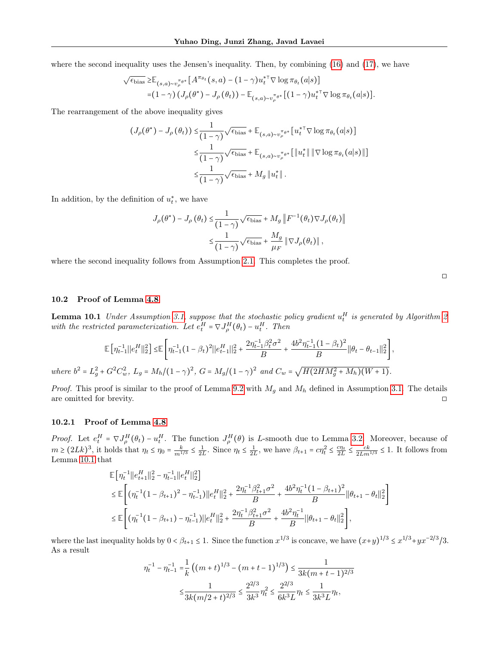where the second inequality uses the Jensen's inequality. Then, by combining [\(16\)](#page-19-1) and [\(17\)](#page-19-2), we have

$$
\sqrt{\epsilon_{\text{bias}}} \geq \mathbb{E}_{(s,a)\sim v_{\rho}^{\pi_{\theta*}}}[A^{\pi_{\theta_t}}(s,a) - (1-\gamma)u_t^{*\top} \nabla \log \pi_{\theta_t}(a|s)]
$$
  
= $(1-\gamma) (J_{\rho}(\theta^*) - J_{\rho}(\theta_t)) - \mathbb{E}_{(s,a)\sim v_{\rho}^{\pi_{\theta*}}}[(1-\gamma)u_t^{*\top} \nabla \log \pi_{\theta_t}(a|s)].$ 

The rearrangement of the above inequality gives

$$
(J_{\rho}(\theta^*) - J_{\rho}(\theta_t)) \leq \frac{1}{(1-\gamma)} \sqrt{\epsilon_{\text{bias}}} + \mathbb{E}_{(s,a)\sim v_{\rho}^{\pi_{\theta^*}}}[u_t^{*\top} \nabla \log \pi_{\theta_t}(a|s)]
$$
  

$$
\leq \frac{1}{(1-\gamma)} \sqrt{\epsilon_{\text{bias}}} + \mathbb{E}_{(s,a)\sim v_{\rho}^{\pi_{\theta^*}}}[\|u_t^*\| \|\nabla \log \pi_{\theta_t}(a|s)\|]
$$
  

$$
\leq \frac{1}{(1-\gamma)} \sqrt{\epsilon_{\text{bias}}} + M_g \|u_t^*\|.
$$

In addition, by the definition of  $u_t^*$ , we have

$$
J_{\rho}(\theta^*) - J_{\rho}(\theta_t) \leq \frac{1}{(1-\gamma)} \sqrt{\epsilon_{\text{bias}}} + M_g \| F^{-1}(\theta_t) \nabla J_{\rho}(\theta_t) \|
$$
  

$$
\leq \frac{1}{(1-\gamma)} \sqrt{\epsilon_{\text{bias}}} + \frac{M_g}{\mu_F} \| \nabla J_{\rho}(\theta_t) \|,
$$

where the second inequality follows from Assumption [2.1.](#page-2-0) This completes the proof.

#### <span id="page-20-0"></span>10.2 Proof of Lemma [4.8](#page-7-1)

<span id="page-20-1"></span>**Lemma 10.1** Under Assumption [3.1,](#page-3-0) suppose that the stochastic policy gradient  $u_t^H$  is generated by Algorithm [2](#page-6-4) with the restricted parameterization. Let  $e_t^H = \nabla J_{\rho}^H(\theta_t) - u_t^H$ . Then

$$
\mathbb{E}\left[\eta_{t-1}^{-1}\|e_{t}^{H}\|_{2}^{2}\right] \leq \mathbb{E}\left[\eta_{t-1}^{-1}(1-\beta_{t})^{2}\|e_{t-1}^{H}\|_{2}^{2} + \frac{2\eta_{t-1}^{-1}\beta_{t}^{2}\sigma^{2}}{B} + \frac{4b^{2}\eta_{t-1}^{-1}(1-\beta_{t})^{2}}{B}\|\theta_{t} - \theta_{t-1}\|_{2}^{2}\right],
$$
  
where  $b^{2} = L_{g}^{2} + G^{2}C_{w}^{2}$ ,  $L_{g} = M_{h}/(1-\gamma)^{2}$ ,  $G = M_{g}/(1-\gamma)^{2}$  and  $C_{w} = \sqrt{H(2HM_{g}^{2} + M_{h})(W+1)}$ .

*Proof.* This proof is similar to the proof of Lemma [9.2](#page-14-2) with  $M_g$  and  $M_h$  defined in Assumption [3.1.](#page-3-0) The details are omitted for brevity.  $\square$ 

#### 10.2.1 Proof of Lemma [4.8](#page-7-1)

*Proof.* Let  $e_t^H = \nabla J_{\rho}^H(\theta_t) - u_t^H$ . The function  $J_{\rho}^H(\theta)$  is L-smooth due to Lemma [3.2.](#page-3-4) Moreover, because of  $m \ge (2Lk)^3$ , it holds that  $\eta_t \le \eta_0 = \frac{k}{m^{1/3}} \le \frac{1}{2L}$ . Since  $\eta_t \le \frac{1}{2L}$ , we have  $\beta_{t+1} = c\eta_t^2 \le \frac{c\eta_t}{2L} \le \frac{ck}{2Lm^{1/3}} \le 1$ . It follows from Lemma [10.1](#page-20-1) that

$$
\mathbb{E}\Big[\eta_t^{-1}||e_{t+1}^H||_2^2 - \eta_{t-1}^{-1}||e_t^H||_2^2\Big]
$$
\n
$$
\leq \mathbb{E}\Bigg[\big(\eta_t^{-1}\big(1-\beta_{t+1}\big)^2 - \eta_{t-1}^{-1}\big)\big||e_t^H||_2^2 + \frac{2\eta_t^{-1}\beta_{t+1}^2\sigma^2}{B} + \frac{4b^2\eta_t^{-1}\big(1-\beta_{t+1}\big)^2}{B}||\theta_{t+1} - \theta_t||_2^2\Bigg]
$$
\n
$$
\leq \mathbb{E}\Bigg[\big(\eta_t^{-1}\big(1-\beta_{t+1}\big) - \eta_{t-1}^{-1}\big)\big||e_t^H||_2^2 + \frac{2\eta_t^{-1}\beta_{t+1}^2\sigma^2}{B} + \frac{4b^2\eta_t^{-1}}{B}||\theta_{t+1} - \theta_t||_2^2\Bigg],
$$

where the last inequality holds by  $0 < \beta_{t+1} \leq 1$ . Since the function  $x^{1/3}$  is concave, we have  $(x+y)^{1/3} \leq x^{1/3} + yx^{-2/3}/3$ . As a result

$$
\eta_t^{-1} - \eta_{t-1}^{-1} = \frac{1}{k} \left( (m+t)^{1/3} - (m+t-1)^{1/3} \right) \le \frac{1}{3k(m+t-1)^{2/3}}
$$

$$
\le \frac{1}{3k(m/2+t)^{2/3}} \le \frac{2^{2/3}}{3k^3} \eta_t^2 \le \frac{2^{2/3}}{6k^3L} \eta_t \le \frac{1}{3k^3L} \eta_t,
$$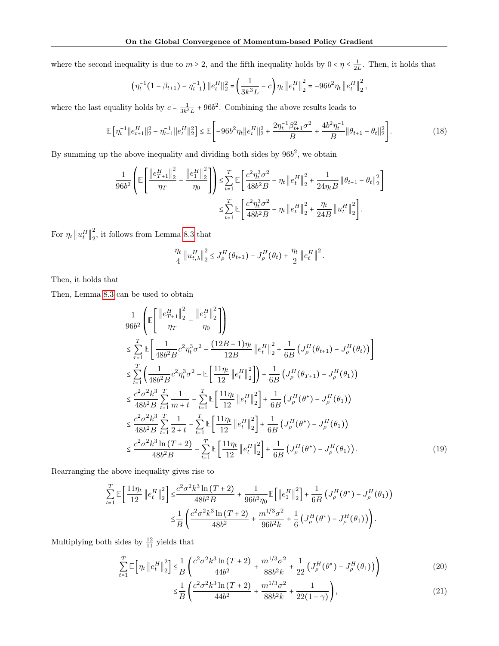where the second inequality is due to  $m \geq 2$ , and the fifth inequality holds by  $0 < \eta \leq \frac{1}{2L}$ . Then, it holds that

$$
\left(\eta_t^{-1}(1-\beta_{t+1})-\eta_{t-1}^{-1}\right) ||e_t^H||_2^2 = \left(\frac{1}{3k^3L}-c\right)\eta_t ||e_t^H||_2^2 = -96b^2\eta_t ||e_t^H||_2^2,
$$

where the last equality holds by  $c = \frac{1}{3k^3L} + 96b^2$ . Combining the above results leads to

$$
\mathbb{E}\left[\eta_t^{-1}||e_{t+1}^H||_2^2 - \eta_{t-1}^{-1}||e_t^H||_2^2\right] \le \mathbb{E}\left[-96b^2\eta_t||e_t^H||_2^2 + \frac{2\eta_t^{-1}\beta_{t+1}^2\sigma^2}{B} + \frac{4b^2\eta_t^{-1}}{B}||\theta_{t+1} - \theta_t||_2^2\right].\tag{18}
$$

By summing up the above inequality and dividing both sides by  $96b^2$ , we obtain

$$
\frac{1}{96b^2} \left( \mathbb{E} \left[ \frac{\left\| e_{T+1}^H \right\|_2^2}{\eta_T} - \frac{\left\| e_1^H \right\|_2^2}{\eta_0} \right] \right) \le \sum_{t=1}^T \mathbb{E} \left[ \frac{c^2 \eta_t^3 \sigma^2}{48b^2 B} - \eta_t \left\| e_t^H \right\|_2^2 + \frac{1}{24\eta_t B} \left\| \theta_{t+1} - \theta_t \right\|_2^2 \right] \le \sum_{t=1}^T \mathbb{E} \left[ \frac{c^2 \eta_t^3 \sigma^2}{48b^2 B} - \eta_t \left\| e_t^H \right\|_2^2 + \frac{\eta_t}{24B} \left\| u_t^H \right\|_2^2 \right].
$$

For  $\eta_t \left\| u_t^H \right\|_2^2$  $\frac{2}{2}$ , it follows from Lemma [8.3](#page-12-3) that

<span id="page-21-0"></span>
$$
\frac{\eta_t}{4} \left\| u_{t,\lambda}^H \right\|_2^2 \leq J_\rho^H(\theta_{t+1}) - J_\rho^H(\theta_t) + \frac{\eta_t}{2} \left\| e_t^H \right\|^2.
$$

Then, it holds that

Then, Lemma [8.3](#page-12-3) can be used to obtain

$$
\frac{1}{96b^2} \left( \mathbb{E} \left[ \frac{\left\| e_{T+1}^H \right\|_2^2}{\eta_T} - \frac{\left\| e_1^H \right\|_2^2}{\eta_0} \right] \right) \n\leq \sum_{\tau=1}^T \mathbb{E} \left[ \frac{1}{48b^2B} c^2 \eta_t^3 \sigma^2 - \frac{(12B-1)\eta_t}{12B} \left\| e_t^H \right\|_2^2 + \frac{1}{6B} \left( J_\rho^H(\theta_{t+1}) - J_\rho^H(\theta_t) \right) \right] \n\leq \sum_{t=1}^T \left( \frac{1}{48b^2B} c^2 \eta_t^3 \sigma^2 - \mathbb{E} \left[ \frac{11\eta_t}{12} \left\| e_t^H \right\|_2^2 \right] \right) + \frac{1}{6B} \left( J_\rho^H(\theta_{T+1}) - J_\rho^H(\theta_1) \right) \n\leq \frac{c^2 \sigma^2 k^3}{48b^2B} \sum_{t=1}^T \frac{1}{m+t} - \sum_{t=1}^T \mathbb{E} \left[ \frac{11\eta_t}{12} \left\| e_t^H \right\|_2^2 \right] + \frac{1}{6B} \left( J_\rho^H(\theta^*) - J_\rho^H(\theta_1) \right) \n\leq \frac{c^2 \sigma^2 k^3}{48b^2B} \sum_{t=1}^T \frac{1}{2+t} - \sum_{t=1}^T \mathbb{E} \left[ \frac{11\eta_t}{12} \left\| e_t^H \right\|_2^2 \right] + \frac{1}{6B} \left( J_\rho^H(\theta^*) - J_\rho^H(\theta_1) \right) \n\leq \frac{c^2 \sigma^2 k^3 \ln(T+2)}{48b^2B} - \sum_{t=1}^T \mathbb{E} \left[ \frac{11\eta_t}{12} \left\| e_t^H \right\|_2^2 \right] + \frac{1}{6B} \left( J_\rho^H(\theta^*) - J_\rho^H(\theta_1) \right).
$$
\n(19)

Rearranging the above inequality gives rise to

$$
\sum_{t=1}^{T} \mathbb{E} \left[ \frac{11 \eta_t}{12} \left\| e_t^H \right\|_2^2 \right] \leq \frac{c^2 \sigma^2 k^3 \ln(T+2)}{48b^2 B} + \frac{1}{96b^2 \eta_0} \mathbb{E} \left[ \left\| e_1^H \right\|_2^2 \right] + \frac{1}{6B} \left( J^H_{\rho}(\theta^*) - J^H_{\rho}(\theta_1) \right) \n\leq \frac{1}{B} \left( \frac{c^2 \sigma^2 k^3 \ln(T+2)}{48b^2} + \frac{m^{1/3} \sigma^2}{96b^2 k} + \frac{1}{6} \left( J^H_{\rho}(\theta^*) - J^H_{\rho}(\theta_1) \right) \right).
$$

Multiplying both sides by  $\frac{12}{11}$  yields that

$$
\sum_{t=1}^{T} \mathbb{E}\left[\eta_t \left\| e_t^H \right\|_2^2 \right] \le \frac{1}{B} \left( \frac{c^2 \sigma^2 k^3 \ln \left(T+2\right)}{44b^2} + \frac{m^{1/3} \sigma^2}{88b^2 k} + \frac{1}{22} \left( J^H_\rho(\theta^*) - J^H_\rho(\theta_1) \right) \right) \tag{20}
$$

<span id="page-21-1"></span>
$$
\leq \frac{1}{B} \left( \frac{c^2 \sigma^2 k^3 \ln(T+2)}{44b^2} + \frac{m^{1/3} \sigma^2}{88b^2 k} + \frac{1}{22(1-\gamma)} \right),\tag{21}
$$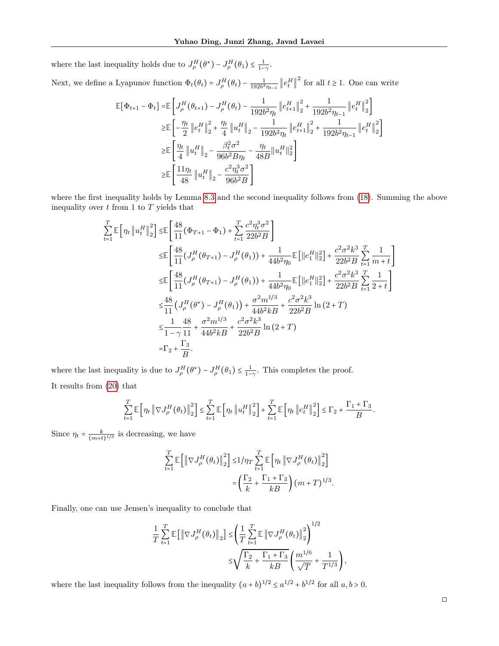where the last inequality holds due to  $J_{\rho}^{H}(\theta^*) - J_{\rho}^{H}(\theta_1) \leq \frac{1}{1-\gamma}$ .

Next, we define a Lyapunov function  $\Phi_t(\theta_t) = J_\rho^H(\theta_t) - \frac{1}{192b^2\eta_{t-1}} \left\| e_t^H \right\|^2$  for all  $t \ge 1$ . One can write

$$
\begin{split} \mathbb{E}[\Phi_{t+1} - \Phi_t] = & \mathbb{E}\left[J^H_{\rho}(\theta_{t+1}) - J^H_{\rho}(\theta_t) - \frac{1}{192b^2\eta_t}\left\|e^H_{t+1}\right\|_2^2 + \frac{1}{192b^2\eta_{t-1}}\left\|e^H_t\right\|_2^2\right] \\ \geq & \mathbb{E}\left[-\frac{\eta_t}{2}\left\|e^H_t\right\|_2^2 + \frac{\eta_t}{4}\left\|u^H_t\right\|_2 - \frac{1}{192b^2\eta_t}\left\|e^H_{t+1}\right\|_2^2 + \frac{1}{192b^2\eta_{t-1}}\left\|e^H_t\right\|_2^2\right] \\ \geq & \mathbb{E}\left[\frac{\eta_t}{4}\left\|u^H_t\right\|_2 - \frac{\beta_t^2\sigma^2}{96b^2B\eta_t} - \frac{\eta_t}{48B}\left\|u^H_t\right\|_2^2\right] \\ \geq & \mathbb{E}\left[\frac{11\eta_t}{48}\left\|u^H_t\right\|_2 - \frac{c^2\eta_t^3\sigma^2}{96b^2B}\right] \end{split}
$$

where the first inequality holds by Lemma [8.3](#page-12-3) and the second inequality follows from [\(18\)](#page-21-0). Summing the above inequality over  $t$  from 1 to  $T$  yields that

$$
\sum_{t=1}^{T} \mathbb{E} \left[ \eta_t \left\| u_t^H \right\|_2^2 \right] \leq \mathbb{E} \left[ \frac{48}{11} (\Phi_{T+1} - \Phi_1) + \sum_{t=1}^{T} \frac{c^2 \eta_t^3 \sigma^2}{22b^2 B} \right]
$$
\n
$$
\leq \mathbb{E} \left[ \frac{48}{11} (J_\rho^H (\theta_{T+1}) - J_\rho^H (\theta_1)) + \frac{1}{44b^2 \eta_0} \mathbb{E} \left[ ||e_1^H ||_2^2 \right] + \frac{c^2 \sigma^2 k^3}{22b^2 B} \sum_{t=1}^{T} \frac{1}{m+t} \right]
$$
\n
$$
\leq \mathbb{E} \left[ \frac{48}{11} (J_\rho^H (\theta_{T+1}) - J_\rho^H (\theta_1)) + \frac{1}{44b^2 \eta_0} \mathbb{E} \left[ ||e_1^H ||_2^2 \right] + \frac{c^2 \sigma^2 k^3}{22b^2 B} \sum_{t=1}^{T} \frac{1}{2+t} \right]
$$
\n
$$
\leq \frac{48}{11} (J_\rho^H (\theta^*) - J_\rho^H (\theta_1)) + \frac{\sigma^2 m^{1/3}}{44b^2 k B} + \frac{c^2 \sigma^2 k^3}{22b^2 B} \ln (2 + T)
$$
\n
$$
\leq \frac{1}{1 - \gamma} \frac{48}{11} + \frac{\sigma^2 m^{1/3}}{44b^2 k B} + \frac{c^2 \sigma^2 k^3}{22b^2 B} \ln (2 + T)
$$
\n
$$
= \Gamma_2 + \frac{\Gamma_3}{B}.
$$

where the last inequality is due to  $J^H_\rho(\theta^*) - J^H_\rho(\theta_1) \leq \frac{1}{1-\gamma}$ . This completes the proof. It results from [\(20\)](#page-21-1) that

$$
\sum_{t=1}^{T} \mathbb{E}\left[\eta_t \left\|\nabla J_{\rho}^H(\theta_t)\right\|_{2}^{2}\right] \leq \sum_{t=1}^{T} \mathbb{E}\left[\eta_t \left\|u_t^H\right\|_{2}^{2}\right] + \sum_{t=1}^{T} \mathbb{E}\left[\eta_t \left\|e_t^H\right\|_{2}^{2}\right] \leq \Gamma_2 + \frac{\Gamma_1 + \Gamma_3}{B}.
$$

Since  $\eta_t = \frac{k}{(m+t)^{1/3}}$  is decreasing, we have

$$
\begin{split} \sum_{t=1}^T \mathbb{E}\left[ \left\| \nabla J^H_{\rho}(\theta_t) \right\|_2^2 \right] \leq & 1/\eta_T \sum_{t=1}^T \mathbb{E}\left[ \eta_t \left\| \nabla J^H_{\rho}(\theta_t) \right\|_2^2 \right] \\ = & \left( \frac{\Gamma_2}{k} + \frac{\Gamma_1 + \Gamma_3}{kB} \right) \big( m + T \big)^{1/3}. \end{split}
$$

Finally, one can use Jensen's inequality to conclude that

$$
\frac{1}{T} \sum_{t=1}^{T} \mathbb{E} \left[ \left\| \nabla J_{\rho}^{H}(\theta_{t}) \right\|_{2} \right] \leq \left( \frac{1}{T} \sum_{t=1}^{T} \mathbb{E} \left\| \nabla J_{\rho}^{H}(\theta_{t}) \right\|_{2}^{2} \right)^{1/2} \leq \sqrt{\frac{\Gamma_{2}}{k} + \frac{\Gamma_{1} + \Gamma_{3}}{kB}} \left( \frac{m^{1/6}}{\sqrt{T}} + \frac{1}{T^{1/3}} \right),
$$

where the last inequality follows from the inequality  $(a + b)^{1/2} \le a^{1/2} + b^{1/2}$  for all  $a, b > 0$ .